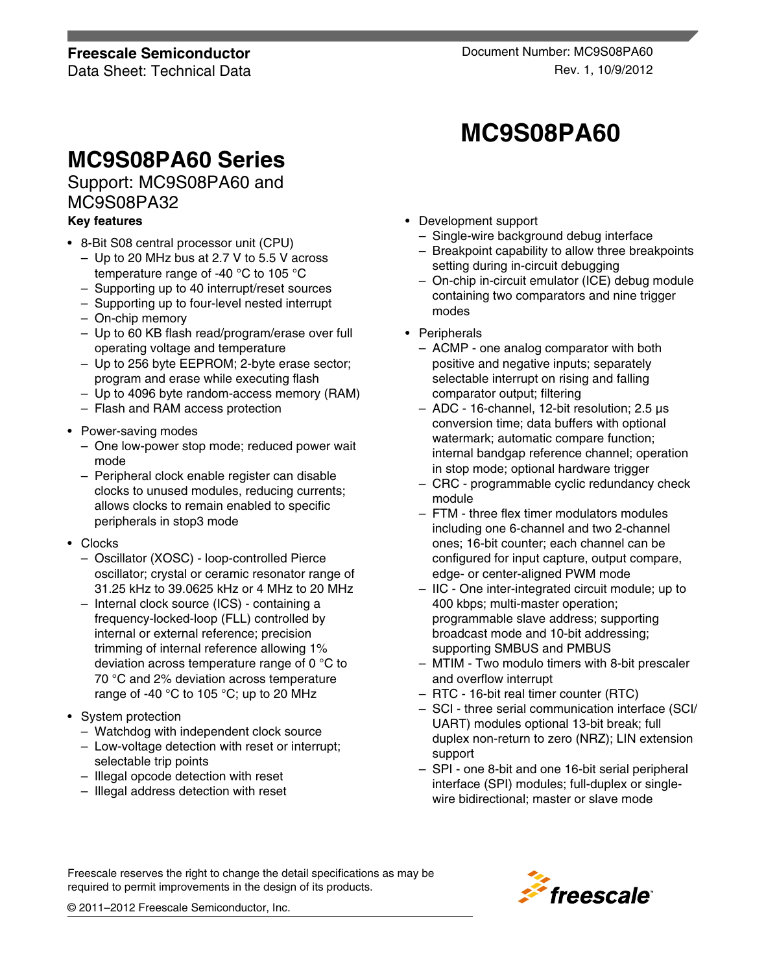# **MC9S08PA60 Series**

Support: MC9S08PA60 and MC9S08PA32

### **Key features**

- 8-Bit S08 central processor unit (CPU)
	- Up to 20 MHz bus at 2.7 V to 5.5 V across temperature range of -40 °C to 105 °C
	- Supporting up to 40 interrupt/reset sources
	- Supporting up to four-level nested interrupt
	- On-chip memory
	- Up to 60 KB flash read/program/erase over full operating voltage and temperature
	- Up to 256 byte EEPROM; 2-byte erase sector; program and erase while executing flash
	- Up to 4096 byte random-access memory (RAM)
	- Flash and RAM access protection
- Power-saving modes
	- One low-power stop mode; reduced power wait mode
	- Peripheral clock enable register can disable clocks to unused modules, reducing currents; allows clocks to remain enabled to specific peripherals in stop3 mode
- Clocks
	- Oscillator (XOSC) loop-controlled Pierce oscillator; crystal or ceramic resonator range of 31.25 kHz to 39.0625 kHz or 4 MHz to 20 MHz
	- Internal clock source (ICS) containing a frequency-locked-loop (FLL) controlled by internal or external reference; precision trimming of internal reference allowing 1% deviation across temperature range of 0 °C to 70 °C and 2% deviation across temperature range of -40 °C to 105 °C; up to 20 MHz
- System protection
	- Watchdog with independent clock source
	- Low-voltage detection with reset or interrupt; selectable trip points
	- Illegal opcode detection with reset
	- Illegal address detection with reset
- Development support
	- Single-wire background debug interface

**MC9S08PA60**

- Breakpoint capability to allow three breakpoints setting during in-circuit debugging
- On-chip in-circuit emulator (ICE) debug module containing two comparators and nine trigger modes
- Peripherals
	- ACMP one analog comparator with both positive and negative inputs; separately selectable interrupt on rising and falling comparator output; filtering
	- ADC 16-channel, 12-bit resolution; 2.5 µs conversion time; data buffers with optional watermark; automatic compare function; internal bandgap reference channel; operation in stop mode; optional hardware trigger
	- CRC programmable cyclic redundancy check module
	- FTM three flex timer modulators modules including one 6-channel and two 2-channel ones; 16-bit counter; each channel can be configured for input capture, output compare, edge- or center-aligned PWM mode
	- IIC One inter-integrated circuit module; up to 400 kbps; multi-master operation; programmable slave address; supporting broadcast mode and 10-bit addressing; supporting SMBUS and PMBUS
	- MTIM Two modulo timers with 8-bit prescaler and overflow interrupt
	- RTC 16-bit real timer counter (RTC)
	- SCI three serial communication interface (SCI/ UART) modules optional 13-bit break; full duplex non-return to zero (NRZ); LIN extension support
	- SPI one 8-bit and one 16-bit serial peripheral interface (SPI) modules; full-duplex or singlewire bidirectional; master or slave mode

Freescale reserves the right to change the detail specifications as may be required to permit improvements in the design of its products.



© 2011–2012 Freescale Semiconductor, Inc.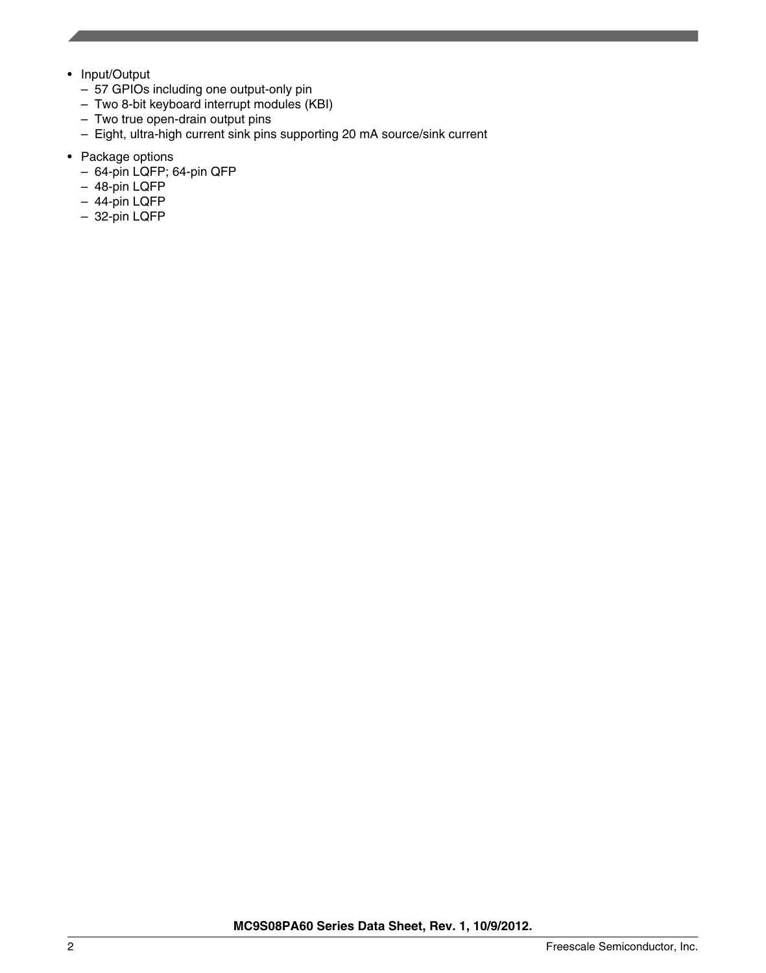- Input/Output
	- 57 GPIOs including one output-only pin
	- Two 8-bit keyboard interrupt modules (KBI)
	- Two true open-drain output pins
	- Eight, ultra-high current sink pins supporting 20 mA source/sink current
- Package options
	- 64-pin LQFP; 64-pin QFP
	- 48-pin LQFP
	- 44-pin LQFP
	- 32-pin LQFP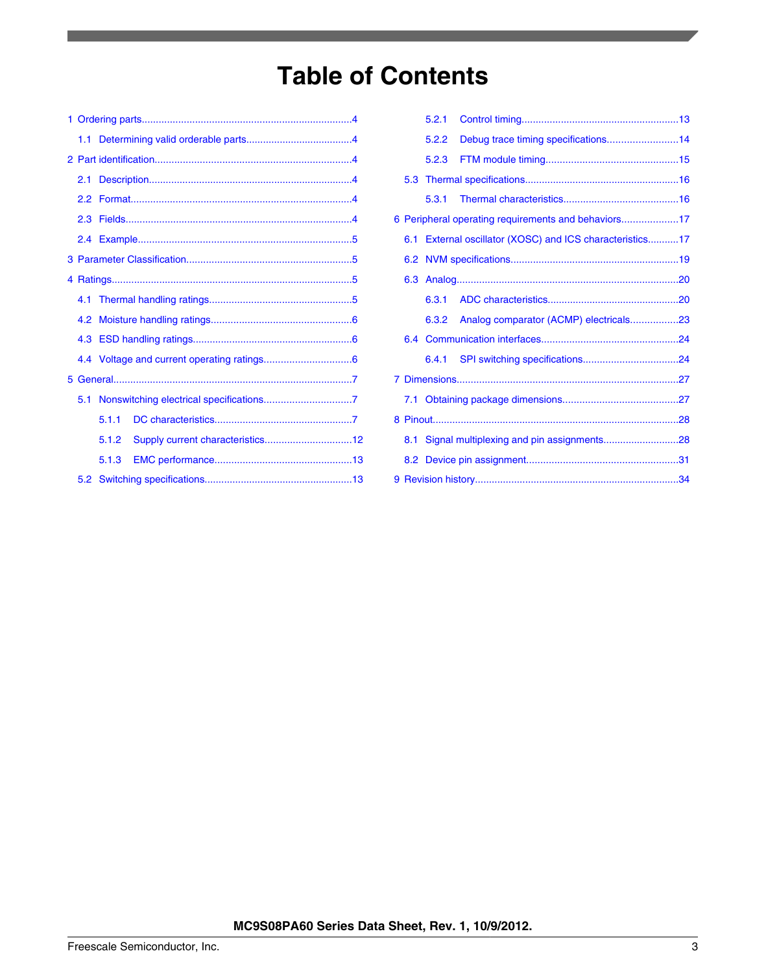# **Table of Contents**

|  | 1.1 |       |  |  |  |  |  |
|--|-----|-------|--|--|--|--|--|
|  |     |       |  |  |  |  |  |
|  | 2.1 |       |  |  |  |  |  |
|  |     |       |  |  |  |  |  |
|  |     |       |  |  |  |  |  |
|  |     |       |  |  |  |  |  |
|  |     |       |  |  |  |  |  |
|  |     |       |  |  |  |  |  |
|  |     |       |  |  |  |  |  |
|  |     |       |  |  |  |  |  |
|  |     |       |  |  |  |  |  |
|  |     |       |  |  |  |  |  |
|  |     |       |  |  |  |  |  |
|  | 5.1 |       |  |  |  |  |  |
|  |     | 5.1.1 |  |  |  |  |  |
|  |     |       |  |  |  |  |  |
|  |     | 5.1.3 |  |  |  |  |  |
|  |     |       |  |  |  |  |  |

|  | 5.2.1 |                                                          |  |
|--|-------|----------------------------------------------------------|--|
|  | 5.2.2 |                                                          |  |
|  | 5.2.3 |                                                          |  |
|  |       |                                                          |  |
|  |       |                                                          |  |
|  |       | 6 Peripheral operating requirements and behaviors17      |  |
|  |       | 6.1 External oscillator (XOSC) and ICS characteristics17 |  |
|  |       |                                                          |  |
|  |       |                                                          |  |
|  |       |                                                          |  |
|  |       | 6.3.2 Analog comparator (ACMP) electricals23             |  |
|  |       |                                                          |  |
|  |       |                                                          |  |
|  |       |                                                          |  |
|  |       |                                                          |  |
|  |       |                                                          |  |
|  |       | 8.1 Signal multiplexing and pin assignments28            |  |
|  |       |                                                          |  |
|  |       |                                                          |  |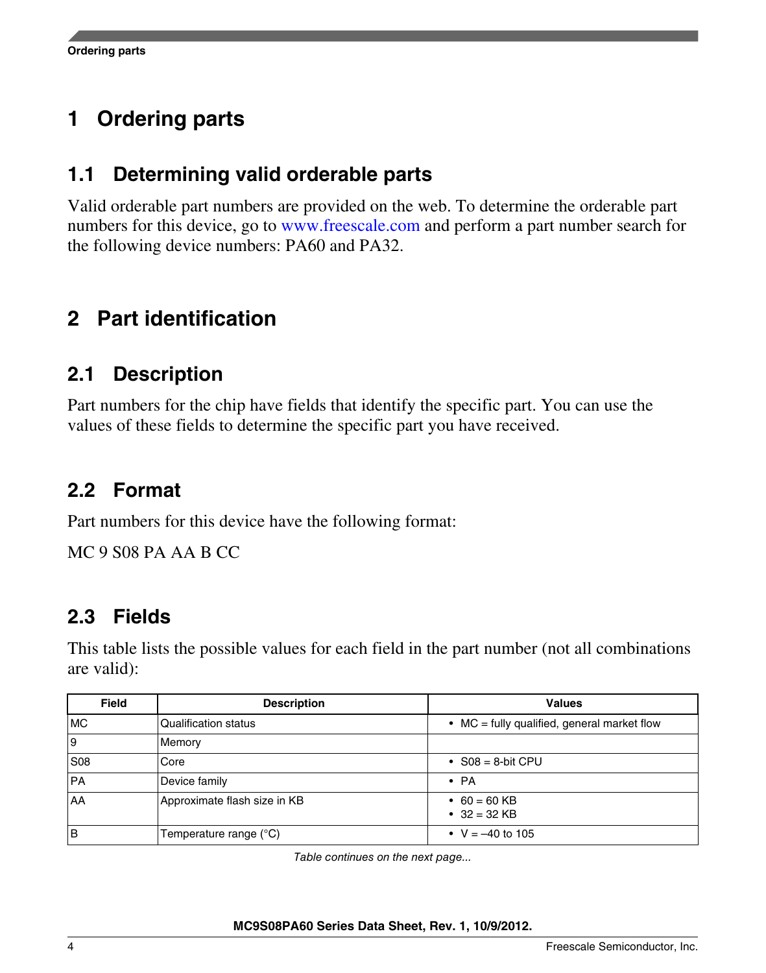#### <span id="page-3-0"></span>**Ordering parts 1**

## **1.1 Determining valid orderable parts**

Valid orderable part numbers are provided on the web. To determine the orderable part numbers for this device, go to [www.freescale.com](http://www.freescale.com) and perform a part number search for the following device numbers: PA60 and PA32.

# **Part identification 2**

## **2.1 Description**

Part numbers for the chip have fields that identify the specific part. You can use the values of these fields to determine the specific part you have received.

## **2.2 Format**

Part numbers for this device have the following format:

MC 9 S08 PA AA B CC

## **2.3 Fields**

This table lists the possible values for each field in the part number (not all combinations are valid):

| <b>Field</b> | <b>Description</b>           | <b>Values</b>                               |
|--------------|------------------------------|---------------------------------------------|
| <b>MC</b>    | <b>Qualification status</b>  | • MC = fully qualified, general market flow |
| و            | Memory                       |                                             |
| <b>S08</b>   | Core                         | • $S08 = 8$ -bit CPU                        |
| PA           | Device family                | $\bullet$ PA                                |
| AA           | Approximate flash size in KB | • 60 = 60 KB<br>• $32 = 32$ KB              |
| ١B           | Temperature range (°C)       | • $V = -40$ to 105                          |

*Table continues on the next page...*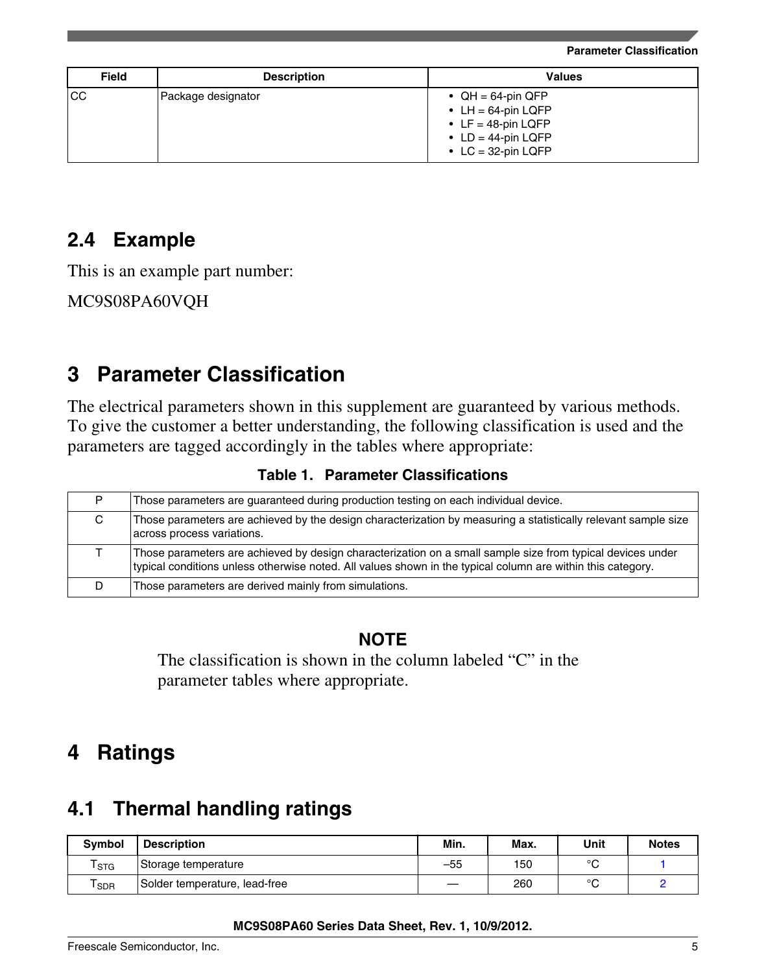**Parameter Classification**

<span id="page-4-0"></span>

| <b>Field</b> | <b>Description</b> | <b>Values</b>                                                                                                      |
|--------------|--------------------|--------------------------------------------------------------------------------------------------------------------|
| lcc          | Package designator | • $QH = 64$ -pin QFP<br>• LH = $64$ -pin LQFP<br>• LF = 48-pin LQFP<br>• $LD = 44$ -pin LQFP<br>• LC = 32-pin LQFP |

## **2.4 Example**

This is an example part number:

MC9S08PA60VQH

# **3 Parameter Classification**

The electrical parameters shown in this supplement are guaranteed by various methods. To give the customer a better understanding, the following classification is used and the parameters are tagged accordingly in the tables where appropriate:

|  |  | <b>Table 1. Parameter Classifications</b> |
|--|--|-------------------------------------------|
|--|--|-------------------------------------------|

| Those parameters are guaranteed during production testing on each individual device.                                                                                                                                      |
|---------------------------------------------------------------------------------------------------------------------------------------------------------------------------------------------------------------------------|
| Those parameters are achieved by the design characterization by measuring a statistically relevant sample size<br>across process variations.                                                                              |
| Those parameters are achieved by design characterization on a small sample size from typical devices under<br>typical conditions unless otherwise noted. All values shown in the typical column are within this category. |
| Those parameters are derived mainly from simulations.                                                                                                                                                                     |

### **NOTE**

The classification is shown in the column labeled "C" in the parameter tables where appropriate.

# **Ratings 4**

# **4.1 Thermal handling ratings**

| <b>Symbol</b>               | <b>Description</b>            | Min.  | Max. | Unit   | <b>Notes</b> |
|-----------------------------|-------------------------------|-------|------|--------|--------------|
| $\mathsf{T}_{\texttt{STG}}$ | Storage temperature           | $-55$ | 150  | $\sim$ |              |
| <b>SDR</b>                  | Solder temperature, lead-free |       | 260  | $\sim$ |              |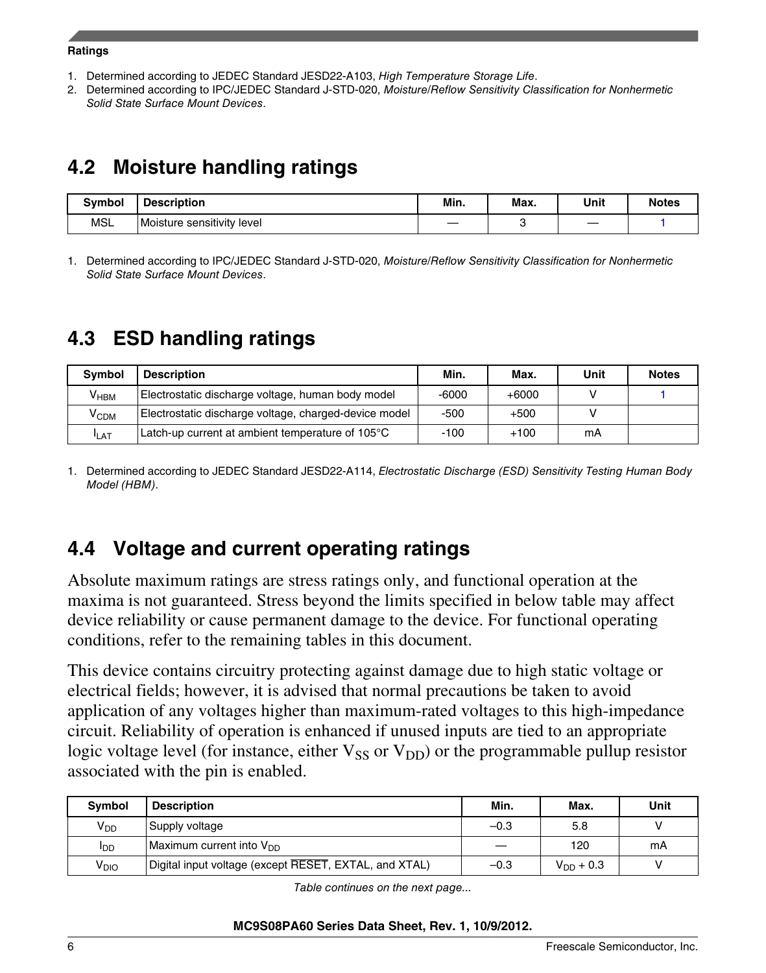### <span id="page-5-0"></span>**Ratings**

- 1. Determined according to JEDEC Standard JESD22-A103, *High Temperature Storage Life*.
- 2. Determined according to IPC/JEDEC Standard J-STD-020, *Moisture/Reflow Sensitivity Classification for Nonhermetic Solid State Surface Mount Devices*.

# **4.2 Moisture handling ratings**

| <b>Symbol</b> | <b>Description</b>         | Min. | Max. | Unit | <b>Notes</b> |
|---------------|----------------------------|------|------|------|--------------|
| MSL           | Moisture sensitivity level | __   |      |      |              |

1. Determined according to IPC/JEDEC Standard J-STD-020, *Moisture/Reflow Sensitivity Classification for Nonhermetic Solid State Surface Mount Devices*.

# **4.3 ESD handling ratings**

| <b>Symbol</b> | <b>Description</b>                                    | Min.    | Max.    | Unit | <b>Notes</b> |
|---------------|-------------------------------------------------------|---------|---------|------|--------------|
| $V_{HBM}$     | Electrostatic discharge voltage, human body model     | $-6000$ | $+6000$ |      |              |
| $\rm V_{CDM}$ | Electrostatic discharge voltage, charged-device model | $-500$  | $+500$  |      |              |
| <b>ILAT</b>   | Latch-up current at ambient temperature of 105°C      | $-100$  | $+100$  | mΑ   |              |

1. Determined according to JEDEC Standard JESD22-A114, *Electrostatic Discharge (ESD) Sensitivity Testing Human Body Model (HBM)*.

# **4.4 Voltage and current operating ratings**

Absolute maximum ratings are stress ratings only, and functional operation at the maxima is not guaranteed. Stress beyond the limits specified in below table may affect device reliability or cause permanent damage to the device. For functional operating conditions, refer to the remaining tables in this document.

This device contains circuitry protecting against damage due to high static voltage or electrical fields; however, it is advised that normal precautions be taken to avoid application of any voltages higher than maximum-rated voltages to this high-impedance circuit. Reliability of operation is enhanced if unused inputs are tied to an appropriate logic voltage level (for instance, either  $V_{SS}$  or  $V_{DD}$ ) or the programmable pullup resistor associated with the pin is enabled.

| <b>Symbol</b>    | <b>Description</b>                                    | Min.   | Max.           | Unit |
|------------------|-------------------------------------------------------|--------|----------------|------|
| V <sub>DD</sub>  | Supply voltage                                        | $-0.3$ | 5.8            |      |
| <b>I</b> DD      | Maximum current into $V_{DD}$                         |        | 120            | mA   |
| V <sub>DIO</sub> | Digital input voltage (except RESET, EXTAL, and XTAL) | $-0.3$ | $V_{DD} + 0.3$ |      |

*Table continues on the next page...*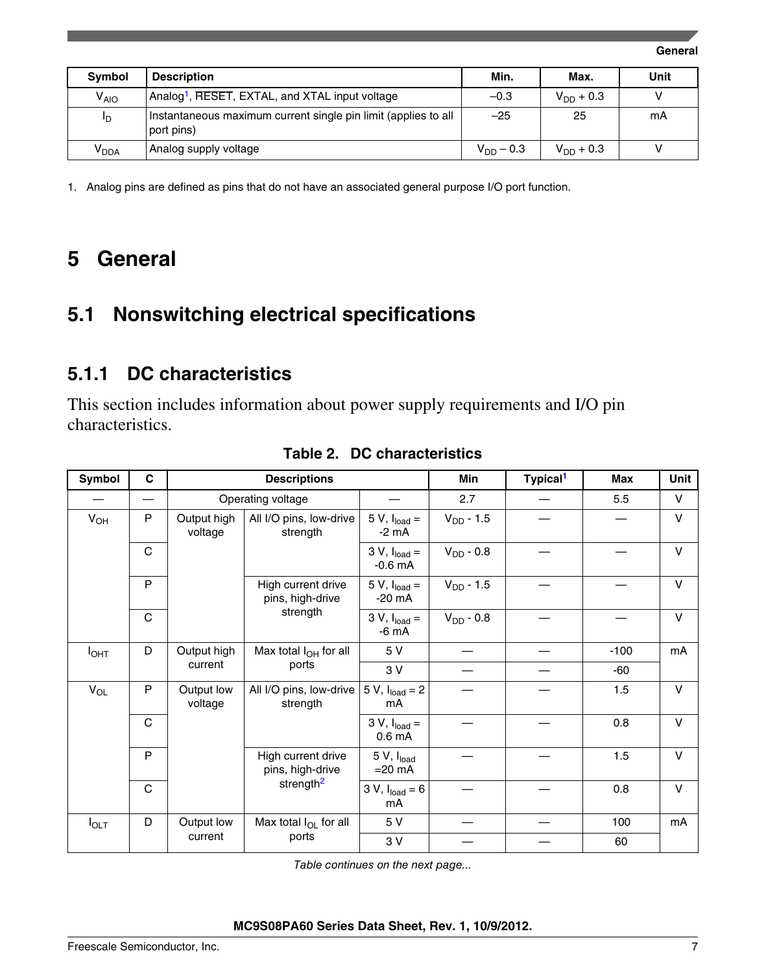**General**

<span id="page-6-0"></span>

| <b>Symbol</b>    | <b>Description</b>                                                           | Min.           | Max.           | Unit |
|------------------|------------------------------------------------------------------------------|----------------|----------------|------|
| V <sub>AIO</sub> | Analog <sup>1</sup> , RESET, EXTAL, and XTAL input voltage                   | $-0.3$         | $V_{DD} + 0.3$ |      |
| ID               | Instantaneous maximum current single pin limit (applies to all<br>port pins) | $-25$          | 25             | mA   |
| V <sub>dda</sub> | Analog supply voltage                                                        | $V_{DD} - 0.3$ | $V_{DD} + 0.3$ |      |

1. Analog pins are defined as pins that do not have an associated general purpose I/O port function.

#### **General 5**

#### **Nonswitching electrical specifications 5.1**

### **5.1.1 DC characteristics**

This section includes information about power supply requirements and I/O pin characteristics.

| Symbol           | C           | <b>Descriptions</b>    |                                        | Min                                  | Typical <sup>1</sup> | Max | Unit   |        |
|------------------|-------------|------------------------|----------------------------------------|--------------------------------------|----------------------|-----|--------|--------|
|                  |             |                        | Operating voltage                      |                                      | 2.7                  |     | 5.5    | V      |
| $V_{OH}$         | P           | Output high<br>voltage | All I/O pins, low-drive<br>strength    | 5 V, $I_{load}$ =<br>$-2$ mA         | $V_{DD} - 1.5$       |     |        | $\vee$ |
|                  | C           |                        |                                        | $3 V, Iload =$<br>$-0.6$ mA          | $V_{DD}$ - 0.8       |     |        | $\vee$ |
|                  | P           |                        | High current drive<br>pins, high-drive | 5 V, $I_{load}$ =<br>-20 mA          | $V_{DD} - 1.5$       |     |        | $\vee$ |
|                  | C           | strength               |                                        | $3 V, Iload =$<br>-6 mA              | $V_{DD}$ - 0.8       |     |        | $\vee$ |
| I <sub>OHT</sub> | D           | Output high            | Max total $I_{OH}$ for all             | 5 V                                  |                      |     | $-100$ | mA     |
|                  |             | current                | ports                                  | 3 V                                  |                      |     | -60    |        |
| $V_{OL}$         | P           | Output low<br>voltage  | All I/O pins, low-drive<br>strength    | 5 V, $I_{load} = 2$<br>mA            |                      |     | 1.5    | $\vee$ |
|                  | $\mathbf C$ |                        |                                        | $3 V, Iload =$<br>0.6 <sub>m</sub> A |                      |     | 0.8    | $\vee$ |
|                  | P           |                        | High current drive<br>pins, high-drive | 5 V, I <sub>load</sub><br>$=20$ mA   |                      |     | 1.5    | $\vee$ |
|                  | C           |                        | strength <sup>2</sup>                  | 3 V, $I_{load} = 6$<br>mA            |                      |     | 0.8    | $\vee$ |
| $I_{\text{OLT}}$ | D           | Output low             | Max total $I_{OL}$ for all             | 5 V                                  |                      |     | 100    | mA     |
|                  |             | current                | ports                                  | 3 V                                  |                      |     | 60     |        |

### **Table 2. DC characteristics**

*Table continues on the next page...*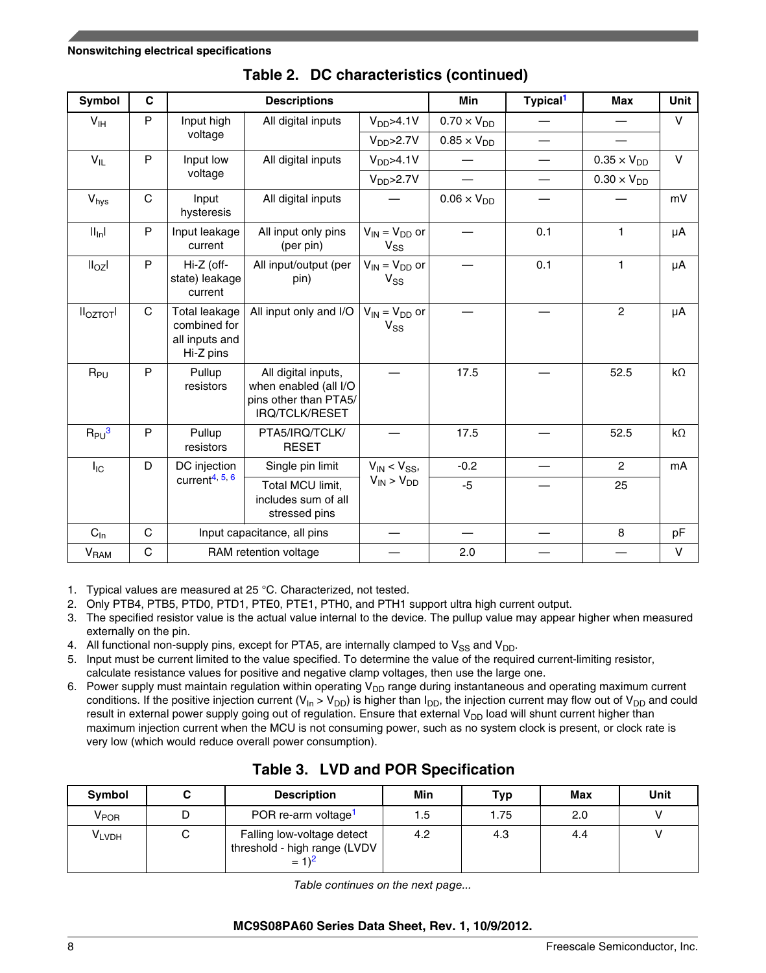<span id="page-7-0"></span>

| Symbol                      | C            |                                                                     | <b>Descriptions</b>                                                                     |                                  | <b>Min</b>           | Typical <sup>1</sup> | <b>Max</b>           | Unit        |
|-----------------------------|--------------|---------------------------------------------------------------------|-----------------------------------------------------------------------------------------|----------------------------------|----------------------|----------------------|----------------------|-------------|
| V <sub>IH</sub>             | P            | Input high                                                          | All digital inputs                                                                      | V <sub>DD</sub> > 4.1V           | $0.70 \times V_{DD}$ |                      |                      | $\vee$      |
|                             |              | voltage                                                             |                                                                                         | V <sub>DD</sub> > 2.7V           | $0.85 \times V_{DD}$ |                      |                      |             |
| $V_{IL}$                    | P            | Input low                                                           | All digital inputs                                                                      | V <sub>DD</sub> > 4.1V           |                      |                      | $0.35 \times V_{DD}$ | $\vee$      |
|                             |              | voltage                                                             |                                                                                         | $V_{DD} > 2.7V$                  |                      |                      | $0.30 \times V_{DD}$ |             |
| V <sub>hys</sub>            | $\mathsf{C}$ | Input<br>hysteresis                                                 | All digital inputs                                                                      |                                  | $0.06 \times V_{DD}$ |                      |                      | mV          |
| $   _n$                     | P            | Input leakage<br>current                                            | All input only pins<br>(per pin)                                                        | $V_{IN} = V_{DD}$ or<br>$V_{SS}$ |                      | 0.1                  | 1                    | μA          |
| II <sub>OZ</sub> I          | P            | Hi-Z (off-<br>state) leakage<br>current                             | All input/output (per<br>pin)                                                           | $V_{IN} = V_{DD}$ or<br>$V_{SS}$ |                      | 0.1                  | $\mathbf{1}$         | μA          |
| II <sub>OZTOT</sub> I       | $\mathsf{C}$ | <b>Total leakage</b><br>combined for<br>all inputs and<br>Hi-Z pins | All input only and I/O                                                                  | $V_{IN} = V_{DD}$ or<br>$V_{SS}$ |                      |                      | $\overline{2}$       | μA          |
| $R_{PU}$                    | P            | Pullup<br>resistors                                                 | All digital inputs,<br>when enabled (all I/O<br>pins other than PTA5/<br>IRQ/TCLK/RESET |                                  | 17.5                 |                      | 52.5                 | $k\Omega$   |
| $R_{PU}^3$                  | P            | Pullup<br>resistors                                                 | PTA5/IRQ/TCLK/<br><b>RESET</b>                                                          |                                  | 17.5                 |                      | 52.5                 | $k\Omega$   |
| $I_{IC}$                    | D            | DC injection                                                        | Single pin limit                                                                        | $V_{IN}$ < $V_{SS}$ ,            | $-0.2$               |                      | $\overline{2}$       | mA          |
|                             |              | current $4, 5, 6$                                                   | Total MCU limit,<br>includes sum of all<br>stressed pins                                | $V_{IN}$ > $V_{DD}$              | $-5$                 |                      | 25                   |             |
| $C_{\ln}$                   | $\mathbf C$  |                                                                     | Input capacitance, all pins                                                             |                                  |                      |                      | 8                    | pF          |
| $\mathsf{V}_{\mathsf{RAM}}$ | $\mathsf C$  |                                                                     | RAM retention voltage                                                                   |                                  | 2.0                  |                      |                      | $\mathsf V$ |

### **Table 2. DC characteristics (continued)**

1. Typical values are measured at 25 °C. Characterized, not tested.

- 2. Only PTB4, PTB5, PTD0, PTD1, PTE0, PTE1, PTH0, and PTH1 support ultra high current output.
- 3. The specified resistor value is the actual value internal to the device. The pullup value may appear higher when measured externally on the pin.
- 4. All functional non-supply pins, except for PTA5, are internally clamped to  $V_{SS}$  and  $V_{DD}$ .
- 5. Input must be current limited to the value specified. To determine the value of the required current-limiting resistor, calculate resistance values for positive and negative clamp voltages, then use the large one.
- 6. Power supply must maintain regulation within operating  $V_{DD}$  range during instantaneous and operating maximum current conditions. If the positive injection current (V<sub>In</sub> > V<sub>DD</sub>) is higher than I<sub>DD</sub>, the injection current may flow out of V<sub>DD</sub> and could result in external power supply going out of regulation. Ensure that external  $V_{DD}$  load will shunt current higher than maximum injection current when the MCU is not consuming power, such as no system clock is present, or clock rate is very low (which would reduce overall power consumption).

| Symbol                    | <b>Description</b>                                                       | Min | Typ  | Max | Unit |
|---------------------------|--------------------------------------------------------------------------|-----|------|-----|------|
| $\mathsf{V}_\mathsf{POR}$ | POR re-arm voltage <sup>1</sup>                                          | 1.5 | 1.75 | 2.0 |      |
| <b>VLVDH</b>              | Falling low-voltage detect<br>threshold - high range (LVDV<br>$= 1)^{2}$ | 4.2 | 4.3  | 4.4 |      |

### **Table 3. LVD and POR Specification**

*Table continues on the next page...*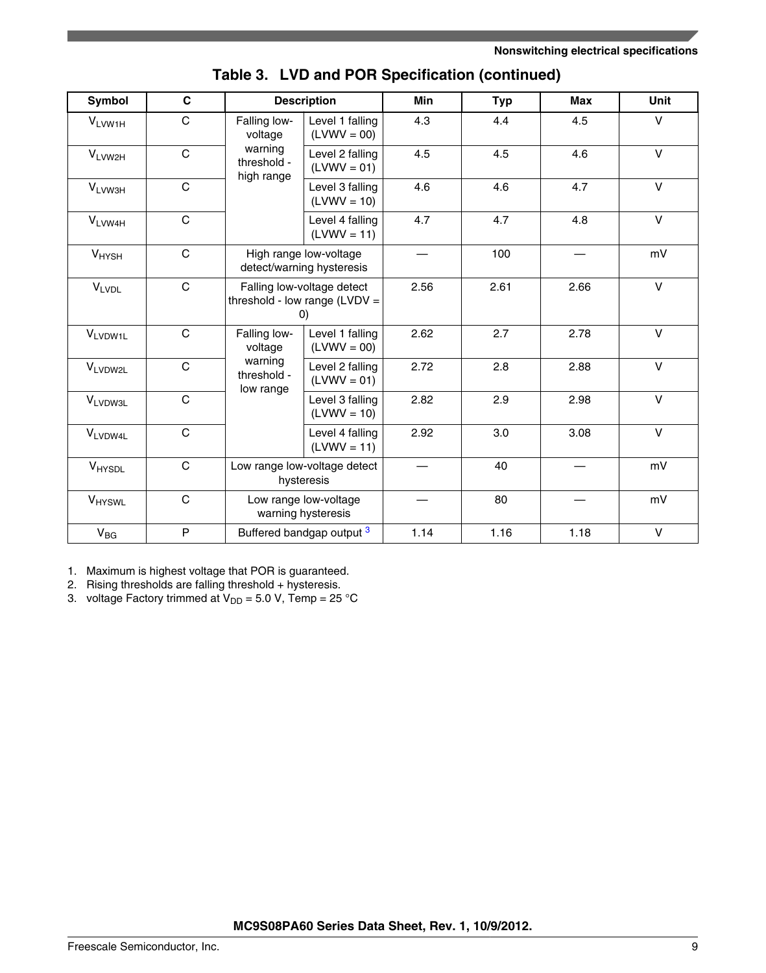<span id="page-8-0"></span>

| <b>Symbol</b>      | $\mathbf c$  |                                      | <b>Description</b>                                                                 | <b>Min</b> | <b>Typ</b> | <b>Max</b> | Unit        |
|--------------------|--------------|--------------------------------------|------------------------------------------------------------------------------------|------------|------------|------------|-------------|
| V <sub>LVW1H</sub> | $\mathsf{C}$ | Falling low-<br>voltage              | Level 1 falling<br>$(LVWV = 00)$                                                   | 4.3        | 4.4        | 4.5        | $\vee$      |
| VLVW2H             | $\mathsf{C}$ | warning<br>threshold -<br>high range | Level 2 falling<br>$(LVWV = 01)$                                                   | 4.5        | 4.5        | 4.6        | $\vee$      |
| V <sub>LVW3H</sub> | $\mathsf{C}$ |                                      | Level 3 falling<br>$(LVWV = 10)$                                                   | 4.6        | 4.6        | 4.7        | $\vee$      |
| VLVW4H             | $\mathsf{C}$ |                                      | Level 4 falling<br>$(LVWV = 11)$                                                   | 4.7        | 4.7        | 4.8        | $\mathsf V$ |
| $V_{HYSH}$         | $\mathsf{C}$ |                                      | High range low-voltage<br>detect/warning hysteresis                                |            | 100        |            | mV          |
| <b>VLVDL</b>       | $\mathbf C$  |                                      | Falling low-voltage detect<br>threshold - low range $(LVDV =$<br>$\left( 0\right)$ |            | 2.61       | 2.66       | $\vee$      |
| VLVDW1L            | $\mathbf C$  | Falling low-<br>voltage              | Level 1 falling<br>$(LVWV = 00)$                                                   | 2.62       | 2.7        | 2.78       | $\vee$      |
| VLVDW2L            | $\mathsf{C}$ | warning<br>threshold -<br>low range  | Level 2 falling<br>$(LVWV = 01)$                                                   | 2.72       | 2.8        | 2.88       | $\vee$      |
| <b>VLVDW3L</b>     | $\mathbf C$  |                                      | Level 3 falling<br>$(LVWV = 10)$                                                   | 2.82       | 2.9        | 2.98       | $\vee$      |
| VLVDW4L            | $\mathsf{C}$ |                                      | Level 4 falling<br>$(LVWV = 11)$                                                   | 2.92       | 3.0        | 3.08       | $\vee$      |
| VHYSDL             | $\mathbf C$  |                                      | Low range low-voltage detect<br>hysteresis                                         |            | 40         |            | mV          |
| V <sub>HYSWL</sub> | $\mathsf{C}$ |                                      | Low range low-voltage<br>warning hysteresis                                        |            | 80         |            | mV          |
| $V_{BG}$           | P            |                                      | Buffered bandgap output <sup>3</sup>                                               | 1.14       | 1.16       | 1.18       | V           |

|  | Table 3. LVD and POR Specification (continued) |  |  |  |
|--|------------------------------------------------|--|--|--|
|--|------------------------------------------------|--|--|--|

1. Maximum is highest voltage that POR is guaranteed.

2. Rising thresholds are falling threshold + hysteresis.

3. voltage Factory trimmed at  $V_{DD} = 5.0$  V, Temp = 25 °C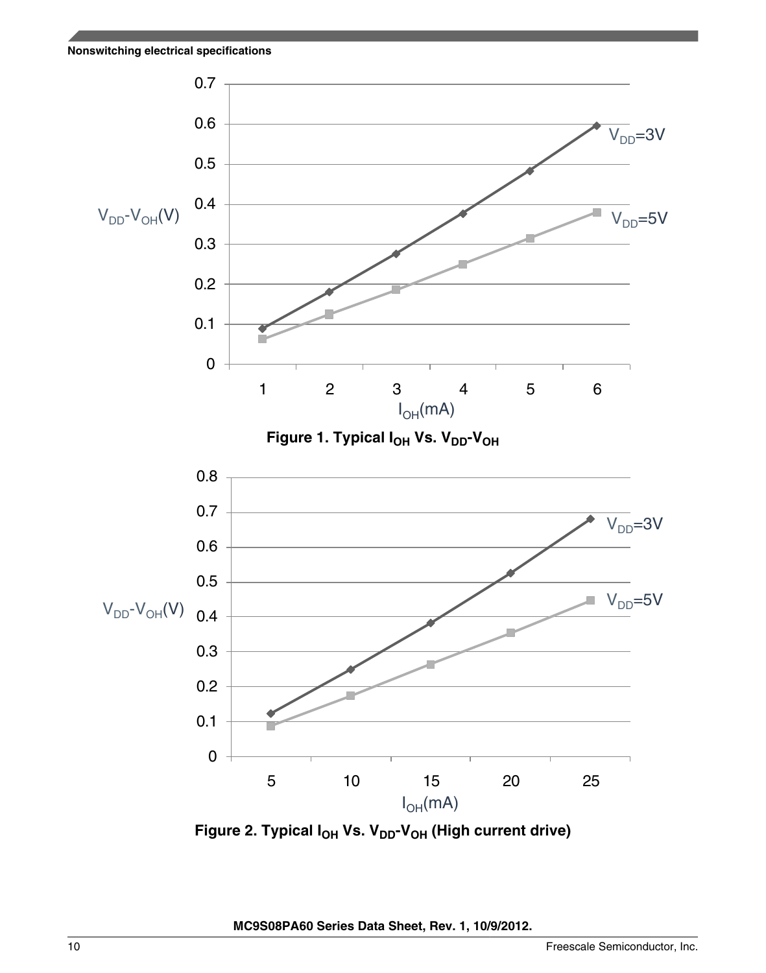

**Figure 2. Typical IOH Vs. VDD-VOH (High current drive)**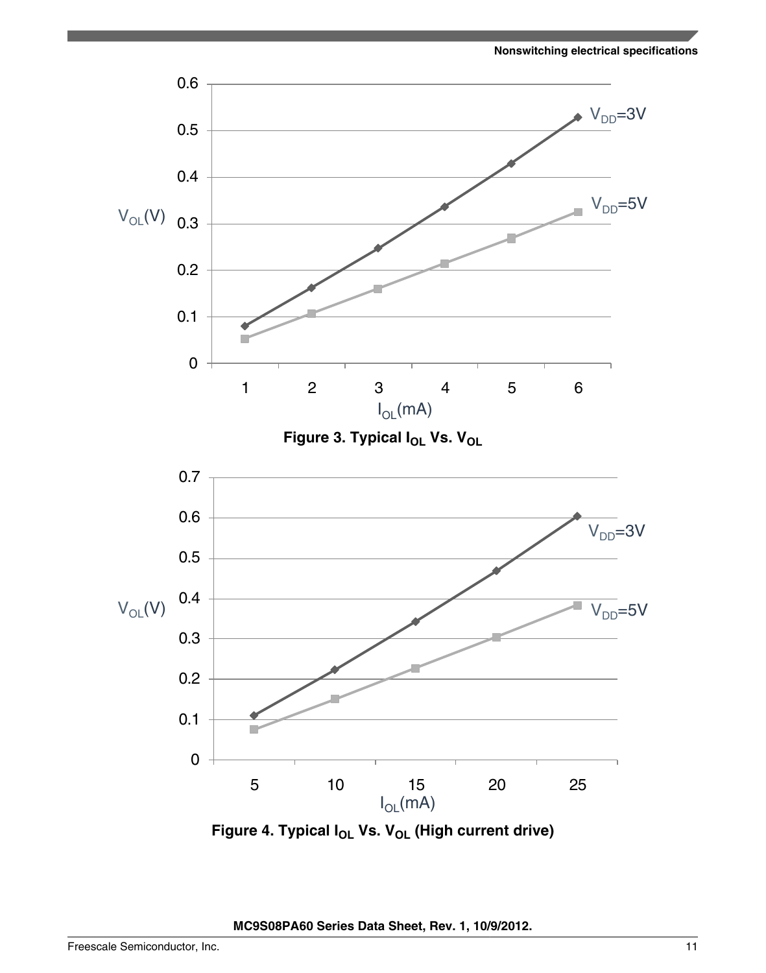

**Figure 4. Typical IOL Vs. VOL (High current drive)**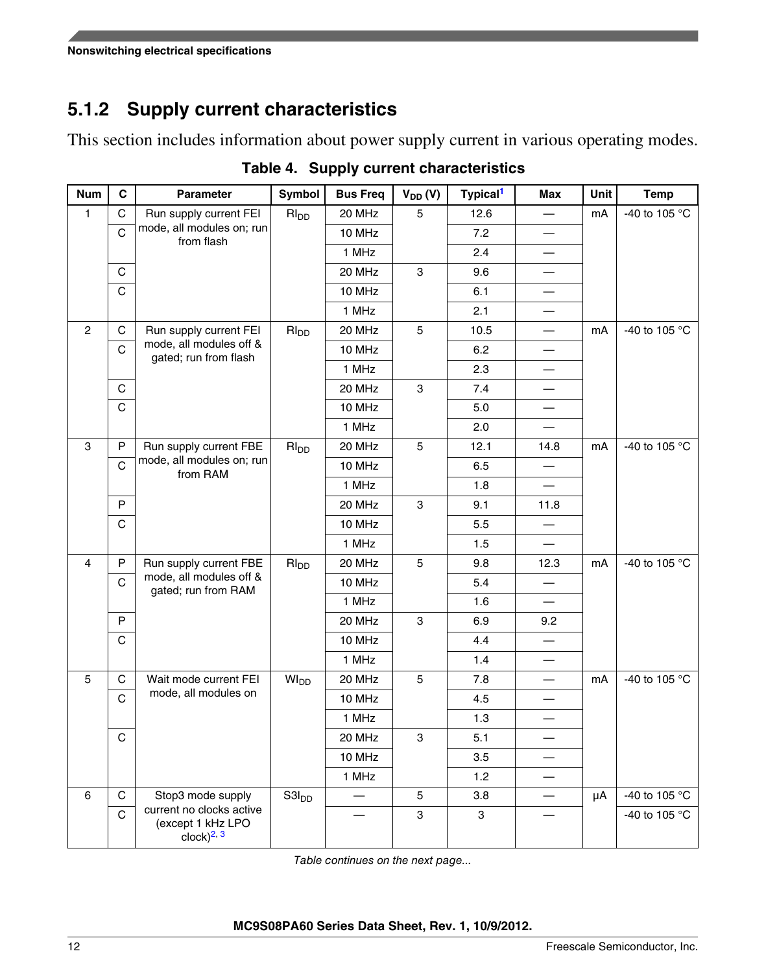## <span id="page-11-0"></span>**5.1.2 Supply current characteristics**

This section includes information about power supply current in various operating modes.

| <b>Num</b>     | $\mathbf{C}$ | <b>Parameter</b>                                                 | Symbol                 | <b>Bus Freq</b> | $V_{DD} (V)$              | Typical <sup>1</sup> | <b>Max</b>               | Unit | <b>Temp</b>   |
|----------------|--------------|------------------------------------------------------------------|------------------------|-----------------|---------------------------|----------------------|--------------------------|------|---------------|
| $\mathbf{1}$   | $\mathbf C$  | Run supply current FEI                                           | $RI_{DD}$              | 20 MHz          | 5                         | 12.6                 | $\overline{\phantom{0}}$ | mA   | -40 to 105 °C |
|                | $\mathsf{C}$ | mode, all modules on; run<br>from flash                          |                        | 10 MHz          |                           | 7.2                  |                          |      |               |
|                |              |                                                                  |                        | 1 MHz           |                           | 2.4                  |                          |      |               |
|                | C            |                                                                  |                        | 20 MHz          | 3                         | 9.6                  |                          |      |               |
|                | $\mathsf C$  |                                                                  |                        | 10 MHz          |                           | 6.1                  |                          |      |               |
|                |              |                                                                  |                        | 1 MHz           |                           | 2.1                  |                          |      |               |
| $\overline{2}$ | С            | Run supply current FEI                                           | $RI_{DD}$              | 20 MHz          | 5                         | 10.5                 |                          | mA   | -40 to 105 °C |
|                | $\mathsf{C}$ | mode, all modules off &<br>gated; run from flash                 |                        | 10 MHz          |                           | 6.2                  |                          |      |               |
|                |              |                                                                  |                        | 1 MHz           |                           | 2.3                  |                          |      |               |
|                | C            |                                                                  |                        | 20 MHz          | $\ensuremath{\mathsf{3}}$ | 7.4                  |                          |      |               |
|                | $\mathsf C$  |                                                                  |                        | 10 MHz          |                           | 5.0                  |                          |      |               |
|                |              |                                                                  |                        | 1 MHz           |                           | 2.0                  |                          |      |               |
| 3              | P            | Run supply current FBE                                           | RI <sub>DD</sub>       | 20 MHz          | 5                         | 12.1                 | 14.8                     | mA   | -40 to 105 °C |
|                | $\mathsf{C}$ | mode, all modules on; run<br>from RAM                            |                        | 10 MHz          |                           | 6.5                  |                          |      |               |
|                |              |                                                                  |                        | 1 MHz           |                           | 1.8                  |                          |      |               |
|                | ${\sf P}$    |                                                                  |                        | 20 MHz          | 3                         | 9.1                  | 11.8                     |      |               |
|                | $\mathsf C$  |                                                                  |                        | 10 MHz          |                           | 5.5                  |                          |      |               |
|                |              |                                                                  |                        | 1 MHz           |                           | 1.5                  |                          |      |               |
| $\overline{4}$ | ${\sf P}$    | Run supply current FBE                                           | $RI_{DD}$              | 20 MHz          | $\overline{5}$            | 9.8                  | 12.3                     | mA   | -40 to 105 °C |
|                | $\mathsf{C}$ | mode, all modules off &<br>gated; run from RAM                   |                        | 10 MHz          |                           | 5.4                  |                          |      |               |
|                |              |                                                                  |                        | 1 MHz           |                           | 1.6                  |                          |      |               |
|                | ${\sf P}$    |                                                                  |                        | 20 MHz          | 3                         | 6.9                  | 9.2                      |      |               |
|                | $\mathsf C$  |                                                                  |                        | 10 MHz          |                           | 4.4                  |                          |      |               |
|                |              |                                                                  |                        | 1 MHz           |                           | 1.4                  |                          |      |               |
| 5              | $\mathbf C$  | Wait mode current FEI                                            | <b>WI<sub>DD</sub></b> | 20 MHz          | 5                         | 7.8                  |                          | mA   | -40 to 105 °C |
|                | $\mathsf{C}$ | mode, all modules on                                             |                        | 10 MHz          |                           | 4.5                  |                          |      |               |
|                |              |                                                                  |                        | 1 MHz           |                           | 1.3                  |                          |      |               |
|                | $\mathsf C$  |                                                                  |                        | 20 MHz          | 3                         | 5.1                  |                          |      |               |
|                |              |                                                                  |                        | 10 MHz          |                           | 3.5                  |                          |      |               |
|                |              |                                                                  |                        | 1 MHz           |                           | 1.2                  |                          |      |               |
| $\,6\,$        | $\mathbf C$  | Stop3 mode supply                                                | S3I <sub>DD</sub>      |                 | 5                         | 3.8                  |                          | μA   | -40 to 105 °C |
|                | $\mathsf C$  | current no clocks active<br>(except 1 kHz LPO<br>$clock)^{2, 3}$ |                        |                 | 3                         | 3                    |                          |      | -40 to 105 °C |

**Table 4. Supply current characteristics**

*Table continues on the next page...*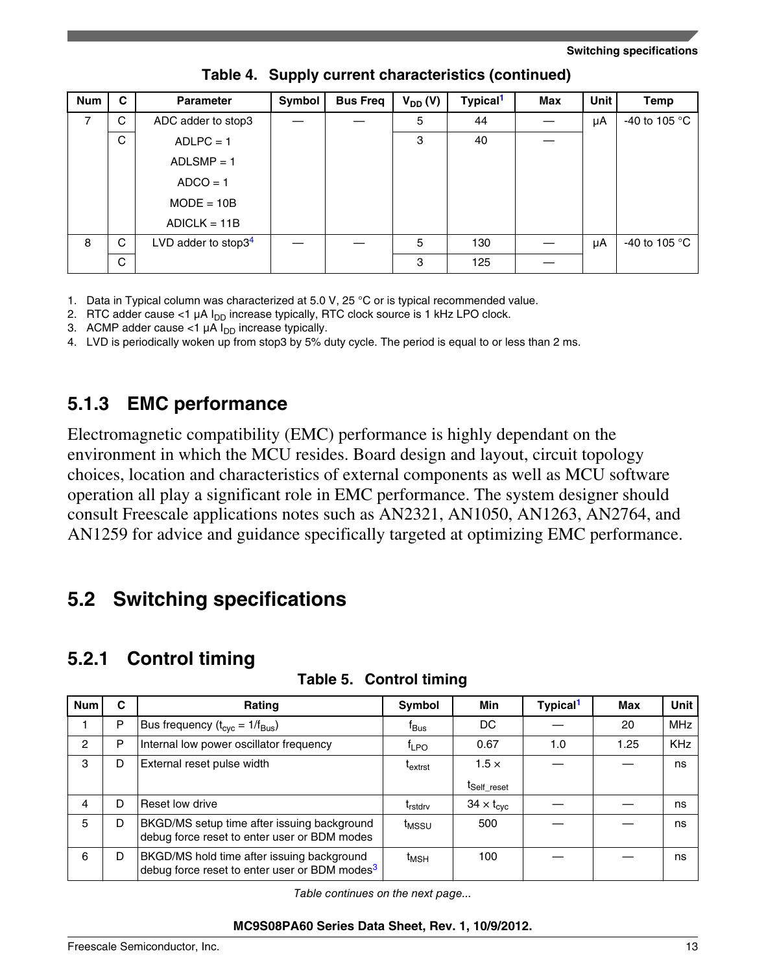<span id="page-12-0"></span>

| <b>Num</b> | C | <b>Parameter</b>       | Symbol | <b>Bus Freq</b> | $V_{DD} (V)$ | Typical <sup>1</sup> | <b>Max</b> | <b>Unit</b> | Temp                   |
|------------|---|------------------------|--------|-----------------|--------------|----------------------|------------|-------------|------------------------|
| 7          | C | ADC adder to stop3     |        |                 | 5            | 44                   |            | μA          | -40 to 105 $\degree$ C |
|            | C | $ADLPC = 1$            |        |                 | 3            | 40                   |            |             |                        |
|            |   | $ADLSMP = 1$           |        |                 |              |                      |            |             |                        |
|            |   | $ADCO = 1$             |        |                 |              |                      |            |             |                        |
|            |   | $MODE = 10B$           |        |                 |              |                      |            |             |                        |
|            |   | $ADICLK = 11B$         |        |                 |              |                      |            |             |                        |
| 8          | C | LVD adder to stop $34$ |        |                 | 5            | 130                  |            | μA          | -40 to 105 $\degree$ C |
|            | C |                        |        |                 | 3            | 125                  |            |             |                        |

**Table 4. Supply current characteristics (continued)**

1. Data in Typical column was characterized at 5.0 V, 25 °C or is typical recommended value.

2. RTC adder cause <1  $\mu$ A  $I_{DD}$  increase typically, RTC clock source is 1 kHz LPO clock.

3. ACMP adder cause <1  $\mu$ A  $I_{DD}$  increase typically.

4. LVD is periodically woken up from stop3 by 5% duty cycle. The period is equal to or less than 2 ms.

### **5.1.3 EMC performance**

Electromagnetic compatibility (EMC) performance is highly dependant on the environment in which the MCU resides. Board design and layout, circuit topology choices, location and characteristics of external components as well as MCU software operation all play a significant role in EMC performance. The system designer should consult Freescale applications notes such as AN2321, AN1050, AN1263, AN2764, and AN1259 for advice and guidance specifically targeted at optimizing EMC performance.

## **5.2 Switching specifications**

## **5.2.1 Control timing**

| <b>Num</b>     | C | Rating                                                                                                  | Symbol                     | Min                        | Typical <sup>1</sup> | Max  | <b>Unit</b> |
|----------------|---|---------------------------------------------------------------------------------------------------------|----------------------------|----------------------------|----------------------|------|-------------|
|                | P | Bus frequency ( $t_{\rm cyc} = 1/f_{\rm Bus}$ )                                                         | <sup>t</sup> Bus           | DC                         |                      | 20   | <b>MHz</b>  |
| $\overline{2}$ | P | Internal low power oscillator frequency                                                                 | $f_{LPO}$                  | 0.67                       | 1.0                  | 1.25 | <b>KHz</b>  |
| 3              | D | External reset pulse width                                                                              | t <sub>extrst</sub>        | $1.5 \times$               |                      |      | ns          |
|                |   |                                                                                                         |                            | I <sub>Self</sub> reset    |                      |      |             |
| 4              | D | Reset low drive                                                                                         | <b>T</b> <sub>rstdrv</sub> | $34 \times t_{\text{cyc}}$ |                      |      | ns          |
| 5              | D | BKGD/MS setup time after issuing background<br>debug force reset to enter user or BDM modes             | t <sub>MSSU</sub>          | 500                        |                      |      | ns          |
| 6              | D | BKGD/MS hold time after issuing background<br>debug force reset to enter user or BDM modes <sup>3</sup> | $t_{\mathsf{MSH}}$         | 100                        |                      |      | ns          |

### **Table 5. Control timing**

*Table continues on the next page...*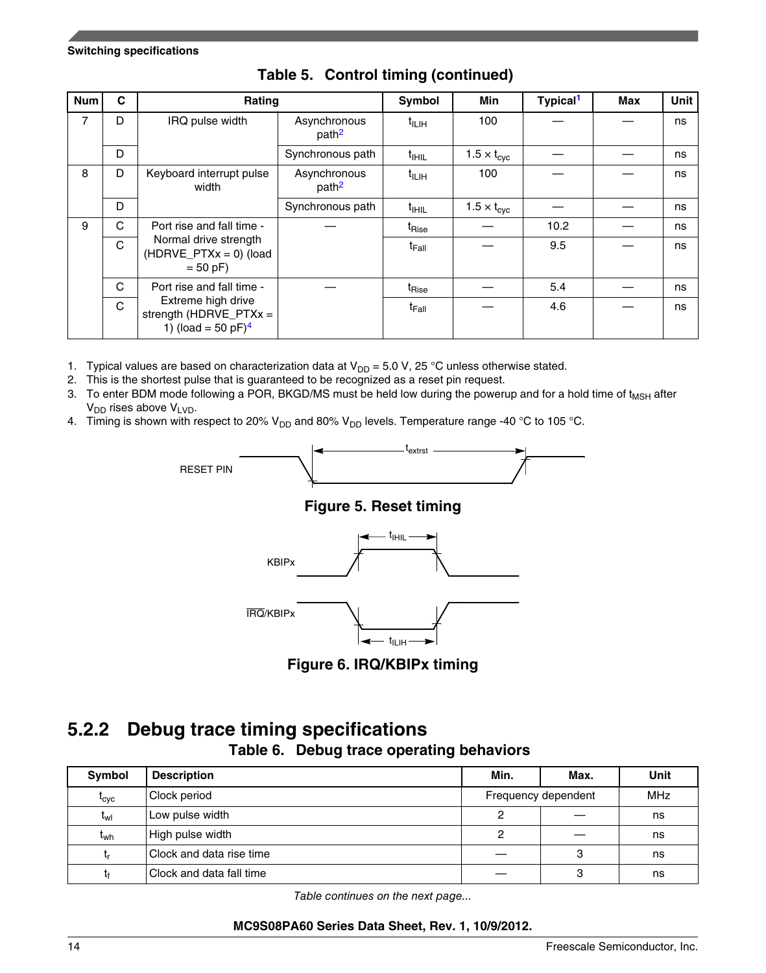<span id="page-13-0"></span>

| <b>Num</b> | C | Rating                                                                            |                                   | Symbol            | <b>Min</b>                  | Typical <sup>1</sup> | <b>Max</b> | Unit |
|------------|---|-----------------------------------------------------------------------------------|-----------------------------------|-------------------|-----------------------------|----------------------|------------|------|
| 7          | D | IRQ pulse width                                                                   | Asynchronous<br>path <sup>2</sup> | $t_{\text{ILIH}}$ | 100                         |                      |            | ns   |
|            | D |                                                                                   | Synchronous path                  | $t_{\text{HHL}}$  | $1.5 \times t_{\text{cyc}}$ |                      |            | ns   |
| 8          | D | Keyboard interrupt pulse<br>width                                                 | Asynchronous<br>path <sup>2</sup> | $t_{\text{ILIH}}$ | 100                         |                      |            | ns   |
|            | D |                                                                                   | Synchronous path                  | $t_{\text{HHL}}$  | $1.5 \times t_{\text{cyc}}$ |                      |            | ns   |
| 9          | C | Port rise and fall time -                                                         |                                   | t <sub>Rise</sub> |                             | 10.2                 |            | ns   |
|            | C | Normal drive strength<br>$(HDRVE_PTXx = 0)$ (load<br>$= 50 pF$                    |                                   | <sup>t</sup> Fall |                             | 9.5                  |            | ns   |
|            | C | Port rise and fall time -                                                         |                                   | t <sub>Rise</sub> |                             | 5.4                  |            | ns   |
|            | C | Extreme high drive<br>strength (HDRVE_PTXx =<br>1) (load = 50 $pF$ ) <sup>4</sup> |                                   | <sup>t</sup> Fall |                             | 4.6                  |            | ns   |

**Table 5. Control timing (continued)**

- 1. Typical values are based on characterization data at  $V_{DD} = 5.0$  V, 25 °C unless otherwise stated.
- 2. This is the shortest pulse that is guaranteed to be recognized as a reset pin request.
- 3. To enter BDM mode following a POR, BKGD/MS must be held low during the powerup and for a hold time of t<sub>MSH</sub> after  $V_{DD}$  rises above  $V_{LVD}$ .
- 4. Timing is shown with respect to 20%  $V_{DD}$  and 80%  $V_{DD}$  levels. Temperature range -40 °C to 105 °C.

RESET PIN



### **Figure 5. Reset timing**



**Figure 6. IRQ/KBIPx timing**

## **5.2.2 Debug trace timing specifications**

**Table 6. Debug trace operating behaviors**

| Symbol          | <b>Description</b>       | Min.                | Max.       | Unit |
|-----------------|--------------------------|---------------------|------------|------|
| $t_{\rm cyc}$   | Clock period             | Frequency dependent | <b>MHz</b> |      |
| t <sub>wl</sub> | Low pulse width          |                     |            | ns   |
| t <sub>wh</sub> | High pulse width         |                     |            | ns   |
| ιr              | Clock and data rise time |                     | З          | ns   |
| tŧ              | Clock and data fall time |                     | ົ<br>v     | ns   |

*Table continues on the next page...*

### **MC9S08PA60 Series Data Sheet, Rev. 1, 10/9/2012.**

Ξ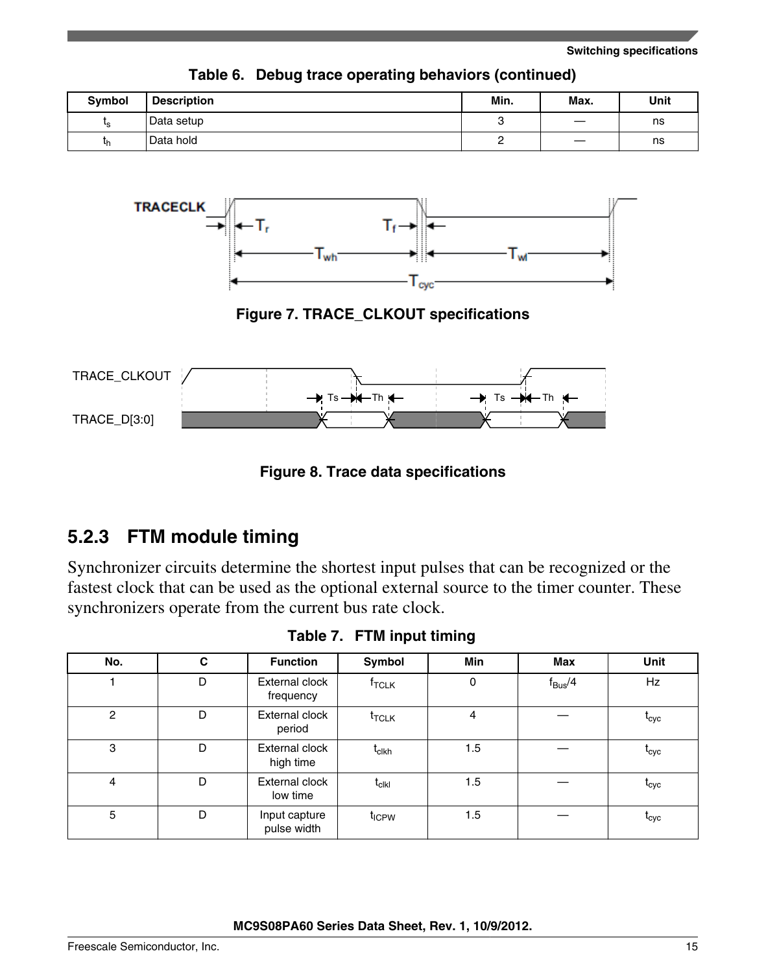<span id="page-14-0"></span>

| <b>Symbol</b> | <b>Description</b> | Min. | Max. | Unit |
|---------------|--------------------|------|------|------|
| ιc            | Data setup         |      |      | ns   |
| Կի            | Data hold          |      |      | ns   |

**Table 6. Debug trace operating behaviors (continued)**



**Figure 7. TRACE\_CLKOUT specifications**



**Figure 8. Trace data specifications**

### **5.2.3 FTM module timing**

Synchronizer circuits determine the shortest input pulses that can be recognized or the fastest clock that can be used as the optional external source to the timer counter. These synchronizers operate from the current bus rate clock.

**Table 7. FTM input timing**

| No.            | C | <b>Function</b>              | Symbol                                                  | Min | Max                | Unit              |
|----------------|---|------------------------------|---------------------------------------------------------|-----|--------------------|-------------------|
|                | D | External clock<br>frequency  | $f_{\sf TCLK}$                                          | 0   | $f_{\text{Bus}}/4$ | Hz                |
| $\overline{c}$ | D | External clock<br>period     | $t_{\text{TCLK}}$                                       | 4   |                    | <b>L</b> cyc      |
| 3              | D | External clock<br>high time  | $t_{\sf cIkh}$                                          | 1.5 |                    | <b>L</b> cyc      |
| 4              | D | External clock<br>low time   | $\mathsf{t}_{\mathsf{c}\mathsf{l}\mathsf{k}\mathsf{l}}$ | 1.5 |                    | $\rm t_{\rm cyc}$ |
| 5              | D | Input capture<br>pulse width | t <sub>ICPW</sub>                                       | 1.5 |                    | $\iota_{\rm cyc}$ |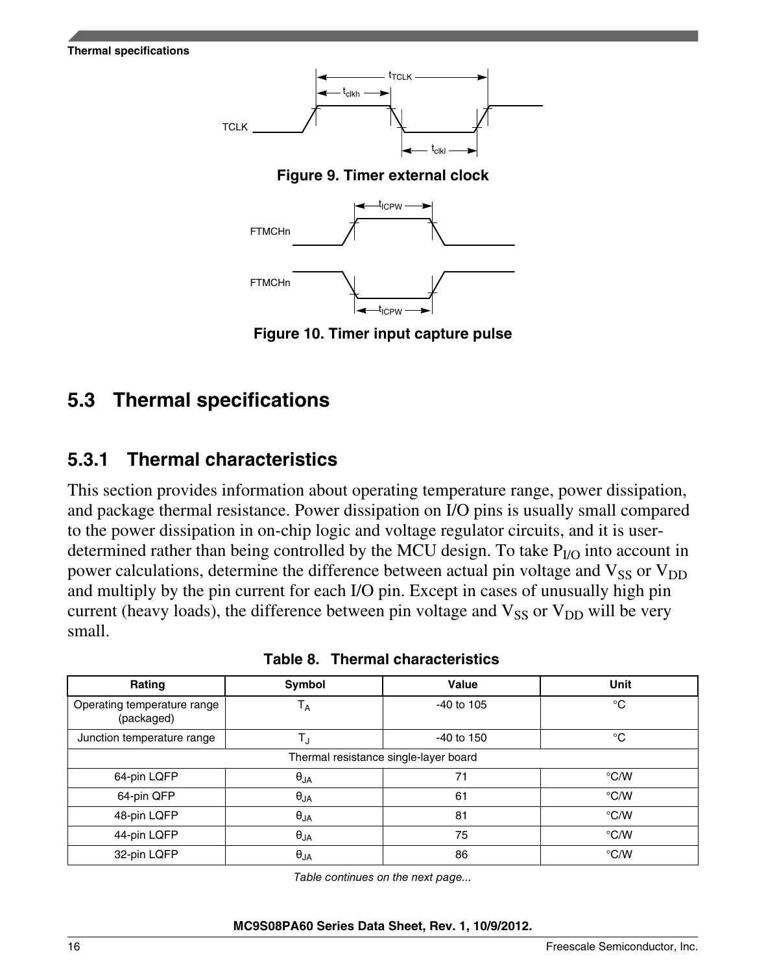<span id="page-15-0"></span>



**Figure 10. Timer input capture pulse**

# **Thermal specifications 5.3**

## **5.3.1 Thermal characteristics**

This section provides information about operating temperature range, power dissipation, and package thermal resistance. Power dissipation on I/O pins is usually small compared to the power dissipation in on-chip logic and voltage regulator circuits, and it is userdetermined rather than being controlled by the MCU design. To take  $P_{I/O}$  into account in power calculations, determine the difference between actual pin voltage and  $V_{SS}$  or  $V_{DD}$ and multiply by the pin current for each I/O pin. Except in cases of unusually high pin current (heavy loads), the difference between pin voltage and  $V_{SS}$  or  $V_{DD}$  will be very small.

| Rating                                    | Symbol        | Value      | <b>Unit</b>   |  |  |  |  |
|-------------------------------------------|---------------|------------|---------------|--|--|--|--|
| Operating temperature range<br>(packaged) | $T_A$         | -40 to 105 | $^{\circ}C$   |  |  |  |  |
| Junction temperature range                | TJ            | -40 to 150 | $^{\circ}C$   |  |  |  |  |
| Thermal resistance single-layer board     |               |            |               |  |  |  |  |
| 64-pin LQFP                               | $\theta_{JA}$ | 71         | $\degree$ C/W |  |  |  |  |
| 64-pin QFP                                | $\theta_{JA}$ | 61         | $\degree$ C/W |  |  |  |  |
| 48-pin LQFP                               | $\theta_{JA}$ | 81         | $\degree$ C/W |  |  |  |  |
| 44-pin LQFP                               | $\theta_{JA}$ | 75         | $\degree$ C/W |  |  |  |  |
| 32-pin LQFP                               | $\theta_{JA}$ | 86         | $\degree$ C/W |  |  |  |  |

|  | Table 8. Thermal characteristics |
|--|----------------------------------|
|  |                                  |

*Table continues on the next page...*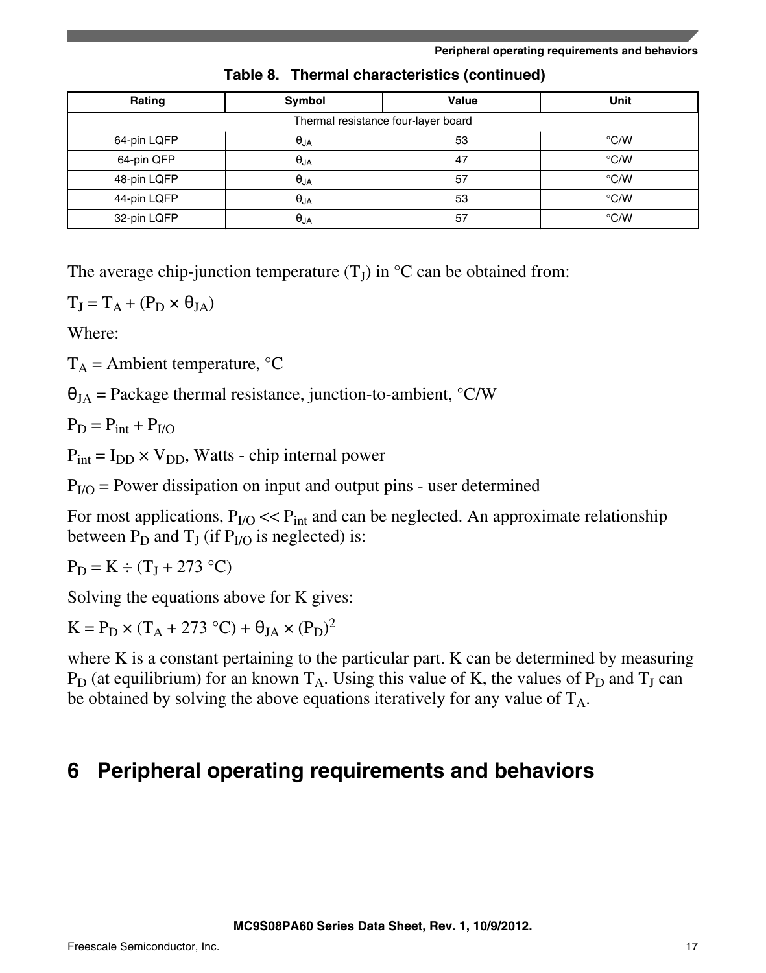<span id="page-16-0"></span>

| Rating      | Symbol                 | Value                               | <b>Unit</b>   |
|-------------|------------------------|-------------------------------------|---------------|
|             |                        | Thermal resistance four-layer board |               |
| 64-pin LQFP | $\theta_{JA}$          | 53                                  | $\degree$ C/W |
| 64-pin QFP  | $\theta_{\mathsf{JA}}$ | 47                                  | $\degree$ C/W |
| 48-pin LQFP | $\theta_{JA}$          | 57                                  | $\degree$ C/W |
| 44-pin LQFP | $\theta_{JA}$          | 53                                  | $\degree$ C/W |
| 32-pin LQFP | $\theta_{\mathsf{JA}}$ | 57                                  | $\degree$ C/W |

**Table 8. Thermal characteristics (continued)**

The average chip-junction temperature  $(T_J)$  in  $\mathrm{C}$  can be obtained from:

 $T_J = T_A + (P_D \times \theta_{JA})$ 

Where:

 $T_A$  = Ambient temperature,  $\degree$ C

 $\theta_{JA}$  = Package thermal resistance, junction-to-ambient,  $\partial$ C/W

 $P_D = P_{int} + P_{I/O}$ 

 $P_{int} = I_{DD} \times V_{DD}$ , Watts - chip internal power

 $P<sub>I/O</sub>$  = Power dissipation on input and output pins - user determined

For most applications,  $P_{I/O} \ll P_{int}$  and can be neglected. An approximate relationship between  $P_D$  and  $T_J$  (if  $P_{I/O}$  is neglected) is:

 $P_D = K \div (T_J + 273 \degree C)$ 

Solving the equations above for K gives:

 $K = P_D \times (T_A + 273 \degree C) + \theta_{JA} \times (P_D)^2$ 

where K is a constant pertaining to the particular part. K can be determined by measuring  $P_D$  (at equilibrium) for an known  $T_A$ . Using this value of K, the values of  $P_D$  and  $T_J$  can be obtained by solving the above equations iteratively for any value of  $T_A$ .

# **6 Peripheral operating requirements and behaviors**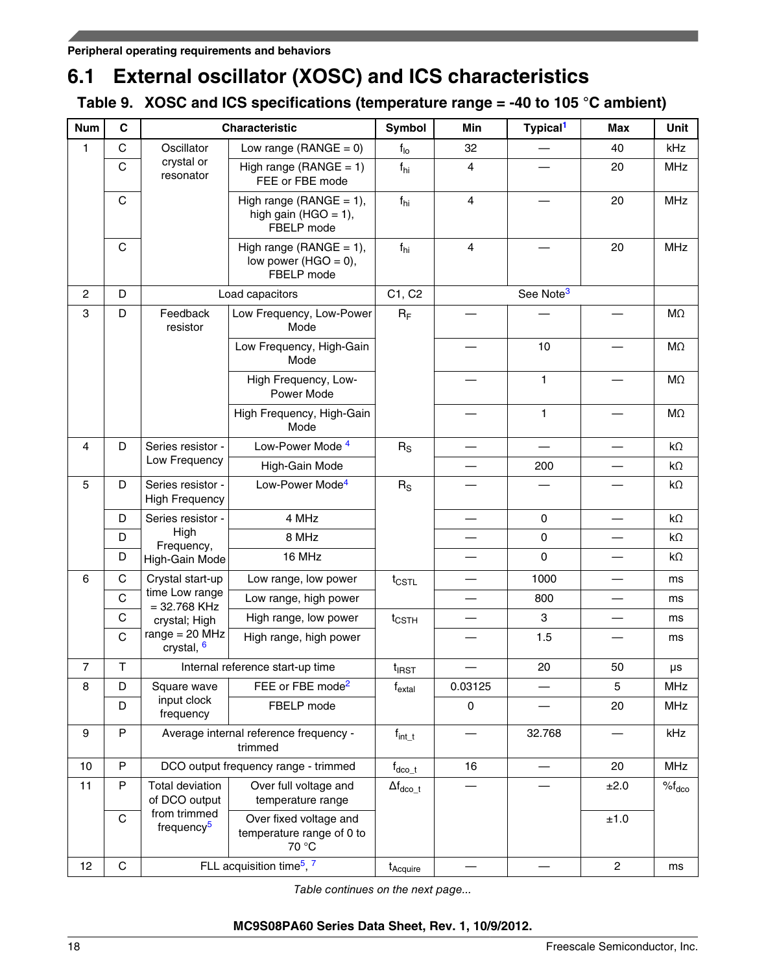# **6.1 External oscillator (XOSC) and ICS characteristics**

### **Table 9. XOSC and ICS specifications (temperature range = -40 to 105 °C ambient)**

| <b>Num</b>   | $\mathbf c$  |                                            | <b>Characteristic</b>                                                | Symbol                     | Min                     | Typical <sup>1</sup>     | <b>Max</b>               | Unit               |
|--------------|--------------|--------------------------------------------|----------------------------------------------------------------------|----------------------------|-------------------------|--------------------------|--------------------------|--------------------|
| 1            | $\mathsf{C}$ | Oscillator                                 | Low range (RANGE = $0$ )                                             | f <sub>10</sub>            | 32                      |                          | 40                       | kHz                |
|              | $\mathbf C$  | crystal or<br>resonator                    | High range (RANGE = $1$ )<br>FEE or FBE mode                         | $f_{hi}$                   | $\overline{4}$          |                          | 20                       | <b>MHz</b>         |
|              | $\mathsf C$  |                                            | High range ( $RANGE = 1$ ),<br>high gain (HGO = $1$ ),<br>FBELP mode | f <sub>hi</sub>            | $\overline{\mathbf{4}}$ |                          | 20                       | <b>MHz</b>         |
|              | $\mathsf{C}$ |                                            | High range (RANGE = $1$ ),<br>low power (HGO = $0$ ),<br>FBELP mode  | $f_{hi}$                   | 4                       |                          | 20                       | <b>MHz</b>         |
| $\mathbf{2}$ | D            |                                            | Load capacitors                                                      | C1, C2                     |                         | See Note <sup>3</sup>    |                          |                    |
| 3            | D            | Feedback<br>resistor                       | Low Frequency, Low-Power<br>Mode                                     | $R_F$                      |                         |                          |                          | MΩ                 |
|              |              |                                            | Low Frequency, High-Gain<br>Mode                                     |                            |                         | 10                       |                          | $M\Omega$          |
|              |              |                                            | High Frequency, Low-<br>Power Mode                                   |                            |                         | $\mathbf{1}$             |                          | MΩ                 |
|              |              |                                            | High Frequency, High-Gain<br>Mode                                    |                            |                         | $\mathbf{1}$             |                          | MΩ                 |
| 4            | D            | Series resistor -                          | Low-Power Mode 4                                                     | $R_S$                      |                         | $\overline{\phantom{0}}$ | $\overline{\phantom{0}}$ | $k\Omega$          |
|              |              | Low Frequency                              | High-Gain Mode                                                       |                            |                         | 200                      |                          | $k\Omega$          |
| 5            | D            | Series resistor -<br><b>High Frequency</b> | Low-Power Mode <sup>4</sup>                                          | $R_S$                      |                         |                          |                          | $k\Omega$          |
|              | D            | Series resistor -                          | 4 MHz                                                                |                            |                         | $\pmb{0}$                |                          | $k\Omega$          |
|              | D            | High<br>Frequency,                         | 8 MHz                                                                |                            |                         | $\pmb{0}$                |                          | $k\Omega$          |
|              | D            | High-Gain Mode                             | 16 MHz                                                               |                            |                         | $\mathbf 0$              |                          | $k\Omega$          |
| 6            | C            | Crystal start-up                           | Low range, low power                                                 | $t_{\text{CSTL}}$          |                         | 1000                     |                          | ms                 |
|              | C            | time Low range<br>$= 32.768$ KHz           | Low range, high power                                                |                            |                         | 800                      | $\overline{\phantom{0}}$ | ms                 |
|              | $\mathsf{C}$ | crystal; High                              | High range, low power                                                | $t_{\text{CSTH}}$          |                         | 3                        |                          | ms                 |
|              | $\mathbf C$  | $range = 20 MHz$<br>crystal, 6             | High range, high power                                               |                            |                         | 1.5                      |                          | ms                 |
| 7            | $\top$       |                                            | Internal reference start-up time                                     | t <sub>IRST</sub>          |                         | 20                       | 50                       | μs                 |
| 8            | D            | Square wave                                | FEE or FBE mode <sup>2</sup>                                         | $f_{\sf extal}$            | 0.03125                 |                          | 5                        | MHz                |
|              | D            | input clock<br>frequency                   | FBELP mode                                                           |                            | 0                       |                          | 20                       | <b>MHz</b>         |
| 9            | P            |                                            | Average internal reference frequency -<br>trimmed                    | $f_{\mathsf{int\_t}}$      |                         | 32.768                   |                          | kHz                |
| 10           | P            |                                            | DCO output frequency range - trimmed                                 | $f_{\text{dco}\_\text{t}}$ | 16                      |                          | 20                       | <b>MHz</b>         |
| 11           | P            | Total deviation<br>of DCO output           | Over full voltage and<br>temperature range                           | $\Delta f_{dco\_t}$        |                         |                          | ±2.0                     | $\%f_{\text{dco}}$ |
|              | $\mathbf C$  | from trimmed<br>frequency <sup>5</sup>     | Over fixed voltage and<br>temperature range of 0 to<br>70 °C         |                            |                         |                          | ±1.0                     |                    |
| 12           | $\mathsf C$  |                                            | FLL acquisition time <sup>5</sup> , 7                                | t <sub>Acquire</sub>       |                         |                          | $\overline{c}$           | ms                 |

*Table continues on the next page...*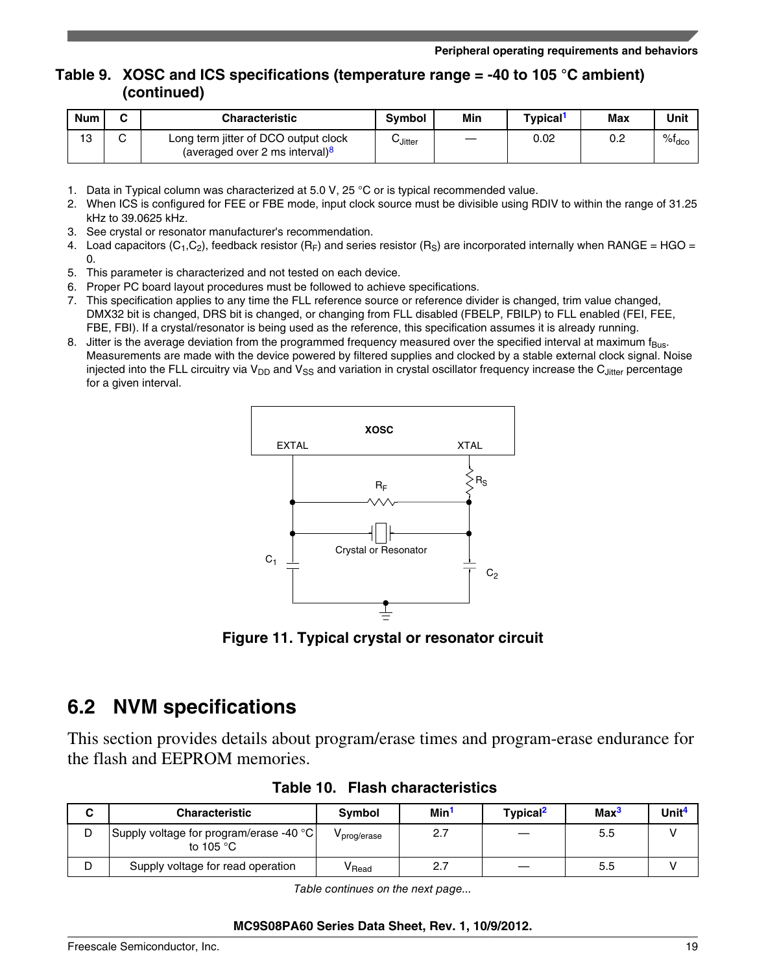### <span id="page-18-0"></span>**Table 9. XOSC and ICS specifications (temperature range = -40 to 105 °C ambient) (continued)**

| <b>Num</b> | ◠ | Characteristic                                                                     | <b>Symbol</b> | Min | Tvpical <sup>1</sup> | Max | Unit           |
|------------|---|------------------------------------------------------------------------------------|---------------|-----|----------------------|-----|----------------|
| 13         |   | Long term jitter of DCO output clock<br>(averaged over 2 ms interval) <sup>8</sup> | しJitter       | _   | 0.02                 | 0.2 | $%f_{\rm dco}$ |

- 1. Data in Typical column was characterized at 5.0 V, 25 °C or is typical recommended value.
- 2. When ICS is configured for FEE or FBE mode, input clock source must be divisible using RDIV to within the range of 31.25 kHz to 39.0625 kHz.
- 3. See crystal or resonator manufacturer's recommendation.
- 4. Load capacitors (C<sub>1</sub>,C<sub>2</sub>), feedback resistor (R<sub>F</sub>) and series resistor (R<sub>S</sub>) are incorporated internally when RANGE = HGO = 0.
- 5. This parameter is characterized and not tested on each device.
- 6. Proper PC board layout procedures must be followed to achieve specifications.
- 7. This specification applies to any time the FLL reference source or reference divider is changed, trim value changed, DMX32 bit is changed, DRS bit is changed, or changing from FLL disabled (FBELP, FBILP) to FLL enabled (FEI, FEE, FBE, FBI). If a crystal/resonator is being used as the reference, this specification assumes it is already running.
- 8. Jitter is the average deviation from the programmed frequency measured over the specified interval at maximum  $f_{BUS}$ . Measurements are made with the device powered by filtered supplies and clocked by a stable external clock signal. Noise injected into the FLL circuitry via  $V_{DD}$  and  $V_{SS}$  and variation in crystal oscillator frequency increase the C<sub>Jitter</sub> percentage for a given interval.



**Figure 11. Typical crystal or resonator circuit**

## **6.2 NVM specifications**

This section provides details about program/erase times and program-erase endurance for the flash and EEPROM memories.

|   | <b>Characteristic</b>                                           | <b>Symbol</b>                | Min <sup>1</sup> | Typical <sup>2</sup> | Max <sup>3</sup> | Unit <sup>4</sup> |
|---|-----------------------------------------------------------------|------------------------------|------------------|----------------------|------------------|-------------------|
| D | Supply voltage for program/erase -40 °C  <br>to 105 $\degree$ C | <sup>v</sup> prog/erase      | 2.7              |                      | 5.5              |                   |
| D | Supply voltage for read operation                               | $\mathsf{v}_{\mathsf{Read}}$ | 2.7              |                      | 5.5              |                   |

**Table 10. Flash characteristics**

*Table continues on the next page...*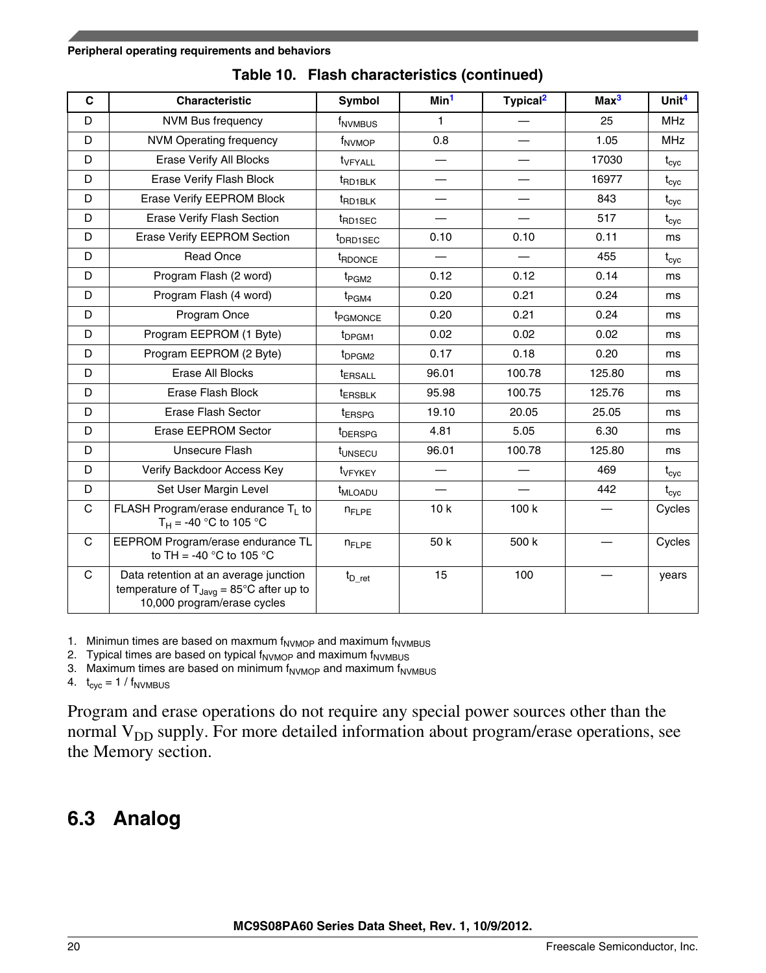#### <span id="page-19-0"></span>**Peripheral operating requirements and behaviors**

| $\mathbf c$  | <b>Characteristic</b>                                                                                                               | Symbol                    | Min <sup>1</sup>         | Typical <sup>2</sup>     | Max <sup>3</sup> | Unit <sup>4</sup> |
|--------------|-------------------------------------------------------------------------------------------------------------------------------------|---------------------------|--------------------------|--------------------------|------------------|-------------------|
| D            | <b>NVM Bus frequency</b>                                                                                                            | f <sub>NVMBUS</sub>       | 1                        |                          | 25               | <b>MHz</b>        |
| D            | <b>NVM Operating frequency</b>                                                                                                      | f <sub>NVMOP</sub>        | 0.8                      |                          | 1.05             | <b>MHz</b>        |
| D            | Erase Verify All Blocks                                                                                                             | t <sub>VFYALL</sub>       | —                        | $\overline{\phantom{0}}$ | 17030            | $t_{\rm cyc}$     |
| D            | Erase Verify Flash Block                                                                                                            | t <sub>RD1BLK</sub>       |                          |                          | 16977            | $t_{\rm cyc}$     |
| D            | Erase Verify EEPROM Block                                                                                                           | t <sub>RD1BLK</sub>       |                          |                          | 843              | $t_{\rm cyc}$     |
| D            | <b>Erase Verify Flash Section</b>                                                                                                   | t <sub>RD1SEC</sub>       | —                        | —                        | 517              | $t_{\rm cyc}$     |
| D            | Erase Verify EEPROM Section                                                                                                         | t <sub>DRD1SEC</sub>      | 0.10                     | 0.10                     | 0.11             | ms                |
| D            | <b>Read Once</b>                                                                                                                    | <b>t</b> RDONCE           |                          |                          | 455              | $t_{\rm cyc}$     |
| D            | Program Flash (2 word)                                                                                                              | t <sub>PGM2</sub>         | 0.12                     | 0.12                     | 0.14             | ms                |
| D            | Program Flash (4 word)                                                                                                              | t <sub>PGM4</sub>         | 0.20                     | 0.21                     | 0.24             | ms                |
| D            | Program Once                                                                                                                        | t <sub>PGMONCE</sub>      | 0.20                     | 0.21                     | 0.24             | ms                |
| D            | Program EEPROM (1 Byte)                                                                                                             | t <sub>DPGM1</sub>        | 0.02                     | 0.02                     | 0.02             | ms                |
| D            | Program EEPROM (2 Byte)                                                                                                             | t <sub>DPGM2</sub>        | 0.17                     | 0.18                     | 0.20             | ms                |
| D            | Erase All Blocks                                                                                                                    | t <sub>ERSALL</sub>       | 96.01                    | 100.78                   | 125.80           | ms                |
| D            | Erase Flash Block                                                                                                                   | <b><i>LERSBLK</i></b>     | 95.98                    | 100.75                   | 125.76           | ms                |
| D            | Erase Flash Sector                                                                                                                  | t <sub>ERSPG</sub>        | 19.10                    | 20.05                    | 25.05            | ms                |
| D            | Erase EEPROM Sector                                                                                                                 | t <sub>DERSPG</sub>       | 4.81                     | 5.05                     | 6.30             | ms                |
| D            | Unsecure Flash                                                                                                                      | t <sub>UNSECU</sub>       | 96.01                    | 100.78                   | 125.80           | ms                |
| D            | Verify Backdoor Access Key                                                                                                          | t <sub>VFYKEY</sub>       | $\overline{\phantom{0}}$ |                          | 469              | $t_{\rm cyc}$     |
| D            | Set User Margin Level                                                                                                               | <b>t<sub>MLOADU</sub></b> |                          |                          | 442              | $t_{\rm cyc}$     |
| $\mathsf{C}$ | FLASH Program/erase endurance $T_1$ to<br>$T_H = -40 °C$ to 105 °C                                                                  | <b>n</b> FLPE             | 10k                      | 100k                     |                  | Cycles            |
| C            | EEPROM Program/erase endurance TL<br>to TH = -40 $^{\circ}$ C to 105 $^{\circ}$ C                                                   | <b>n</b> FLPE             | 50 k                     | 500 k                    |                  | Cycles            |
| $\mathsf{C}$ | Data retention at an average junction<br>temperature of $T_{\text{Java}} = 85^{\circ}$ C after up to<br>10,000 program/erase cycles | $t_{D\_ret}$              | 15                       | 100                      |                  | years             |

**Table 10. Flash characteristics (continued)**

1. Minimun times are based on maxmum  $f_{\text{NVMOP}}$  and maximum  $f_{\text{NVMBUS}}$ 

2. Typical times are based on typical  $f_{\text{NVMOP}}$  and maximum  $f_{\text{NVMBUS}}$ 

3. Maximum times are based on minimum  $f_{\text{NVMOP}}$  and maximum  $f_{\text{NVMBUS}}$ 

4.  $t_{\text{cyc}} = 1 / f_{\text{NVMBUS}}$ 

Program and erase operations do not require any special power sources other than the normal  $V_{DD}$  supply. For more detailed information about program/erase operations, see the Memory section.

## **6.3 Analog**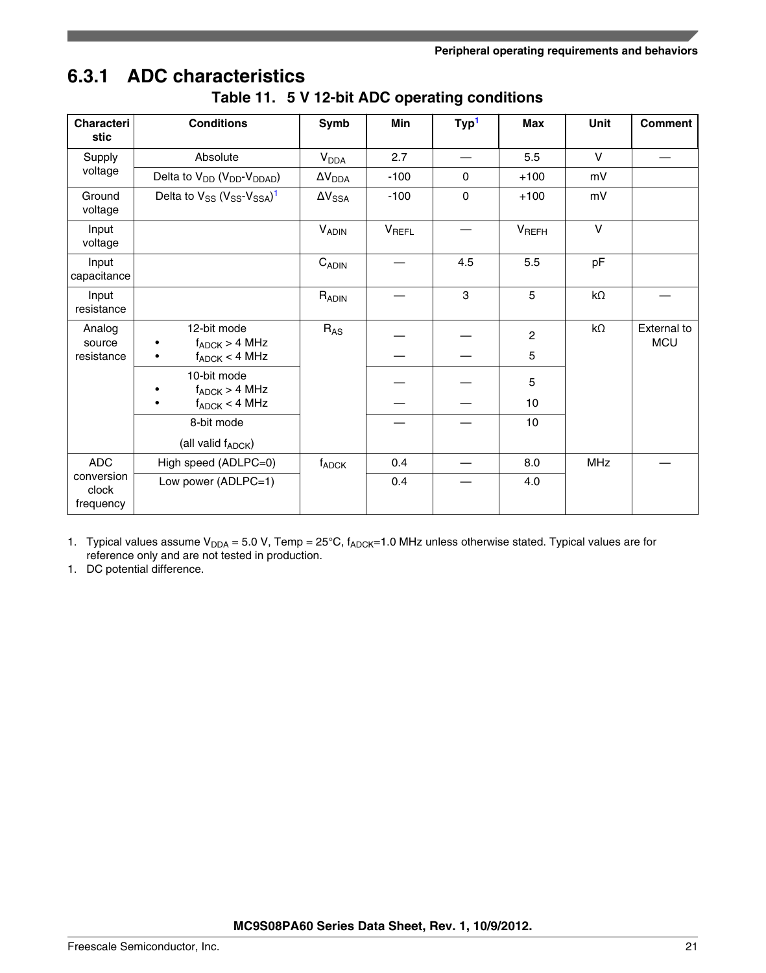# **6.3.1 ADC characteristics**

| <b>Characteri</b><br>stic        | <b>Conditions</b>                                              | Symb                   | <b>Min</b>   | Typ <sup>1</sup> | <b>Max</b>        | <b>Unit</b> | <b>Comment</b>            |
|----------------------------------|----------------------------------------------------------------|------------------------|--------------|------------------|-------------------|-------------|---------------------------|
| Supply                           | Absolute                                                       | <b>V<sub>DDA</sub></b> | 2.7          |                  | 5.5               | $\vee$      |                           |
| voltage                          | Delta to V <sub>DD</sub> (V <sub>DD</sub> -V <sub>DDAD</sub> ) | $\Delta V_{DDA}$       | $-100$       | $\Omega$         | $+100$            | mV          |                           |
| Ground<br>voltage                | Delta to $V_{SS}$ ( $V_{SS}$ - $V_{SSA}$ ) <sup>1</sup>        | $\Delta V_{SSA}$       | $-100$       | 0                | $+100$            | mV          |                           |
| Input<br>voltage                 |                                                                | <b>VADIN</b>           | <b>VREFL</b> |                  | V <sub>REFH</sub> | $\vee$      |                           |
| Input<br>capacitance             |                                                                | $C_{ADIN}$             |              | 4.5              | 5.5               | pF          |                           |
| Input<br>resistance              |                                                                | $R_{ADIN}$             |              | 3                | 5                 | $k\Omega$   |                           |
| Analog<br>source                 | 12-bit mode<br>$f_{ADC}$ > 4 MHz                               | $R_{AS}$               |              |                  | $\overline{c}$    | $k\Omega$   | External to<br><b>MCU</b> |
| resistance                       | $f_{\mathsf{ADCK}} < 4 \mathsf{MHz}$<br>$\bullet$              |                        |              |                  | 5                 |             |                           |
|                                  | 10-bit mode<br>$f_{ADC}$ > 4 MHz                               |                        |              |                  | 5                 |             |                           |
|                                  | $f_{ADC}$ < 4 MHz                                              |                        |              |                  | 10                |             |                           |
|                                  | 8-bit mode                                                     |                        |              |                  | 10                |             |                           |
|                                  | (all valid f <sub>ADCK</sub> )                                 |                        |              |                  |                   |             |                           |
| <b>ADC</b>                       | High speed (ADLPC=0)                                           | $f_{\mathsf{ADCK}}$    | 0.4          |                  | 8.0               | <b>MHz</b>  |                           |
| conversion<br>clock<br>frequency | Low power (ADLPC=1)                                            |                        | 0.4          |                  | 4.0               |             |                           |

|  |  | Table 11. 5 V 12-bit ADC operating conditions |  |
|--|--|-----------------------------------------------|--|
|--|--|-----------------------------------------------|--|

1. Typical values assume  $V_{DDA} = 5.0 V$ , Temp = 25°C,  $f_{ADC}$ =1.0 MHz unless otherwise stated. Typical values are for reference only and are not tested in production.

1. DC potential difference.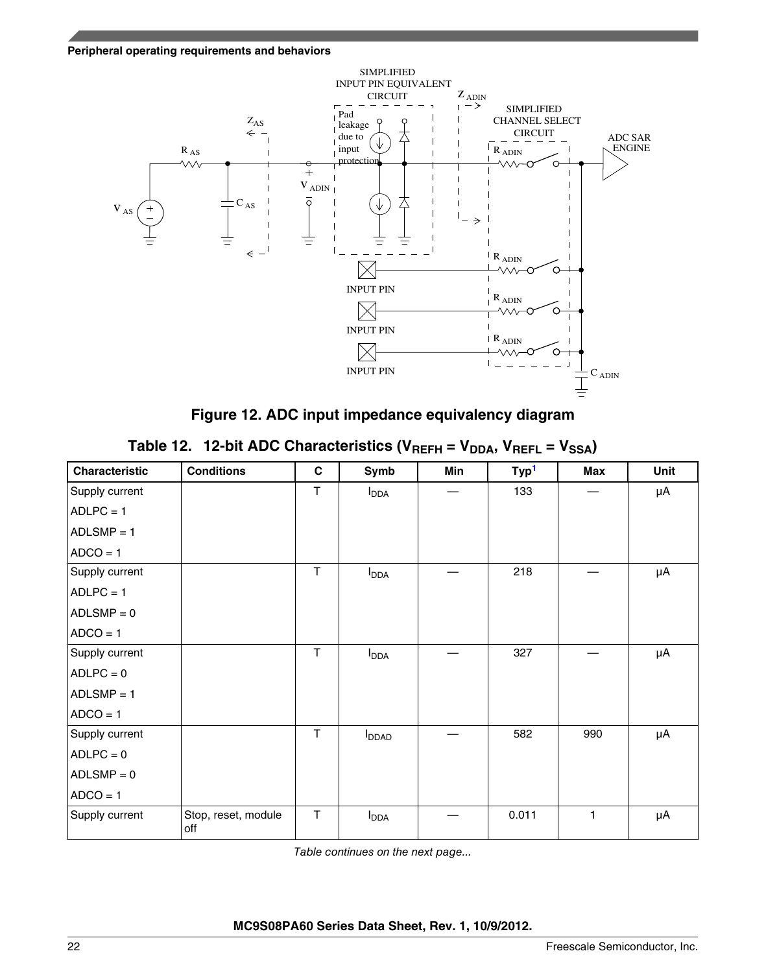#### **Peripheral operating requirements and behaviors**



**Figure 12. ADC input impedance equivalency diagram**

|  | Table 12. 12-bit ADC Characteristics ( $V_{REFH} = V_{DDA}$ , $V_{REFL} = V_{SSA}$ ) |  |  |  |  |
|--|--------------------------------------------------------------------------------------|--|--|--|--|
|--|--------------------------------------------------------------------------------------|--|--|--|--|

| <b>Characteristic</b> | <b>Conditions</b>          | C            | Symb                     | Min | Typ <sup>1</sup> | Max | Unit |
|-----------------------|----------------------------|--------------|--------------------------|-----|------------------|-----|------|
| Supply current        |                            | $\mathsf T$  | $I_{\text{DDA}}$         |     | 133              |     | μA   |
| $ADLPC = 1$           |                            |              |                          |     |                  |     |      |
| $ADLSMP = 1$          |                            |              |                          |     |                  |     |      |
| $ADCO = 1$            |                            |              |                          |     |                  |     |      |
| Supply current        |                            | T            | $I_{\text{DDA}}$         |     | 218              |     | μA   |
| $ADLPC = 1$           |                            |              |                          |     |                  |     |      |
| $ADLSMP = 0$          |                            |              |                          |     |                  |     |      |
| $ADCO = 1$            |                            |              |                          |     |                  |     |      |
| Supply current        |                            | T            | $I_{DDA}$                |     | 327              |     | μA   |
| $ADLPC = 0$           |                            |              |                          |     |                  |     |      |
| $ADLSMP = 1$          |                            |              |                          |     |                  |     |      |
| $ADCO = 1$            |                            |              |                          |     |                  |     |      |
| Supply current        |                            | $\mathsf{T}$ | <b>I</b> <sub>DDAD</sub> |     | 582              | 990 | μA   |
| $ADLPC = 0$           |                            |              |                          |     |                  |     |      |
| $ADLSMP = 0$          |                            |              |                          |     |                  |     |      |
| $ADCO = 1$            |                            |              |                          |     |                  |     |      |
| Supply current        | Stop, reset, module<br>off | $\mathsf T$  | $I_{\text{DDA}}$         |     | 0.011            | 1   | μA   |

*Table continues on the next page...*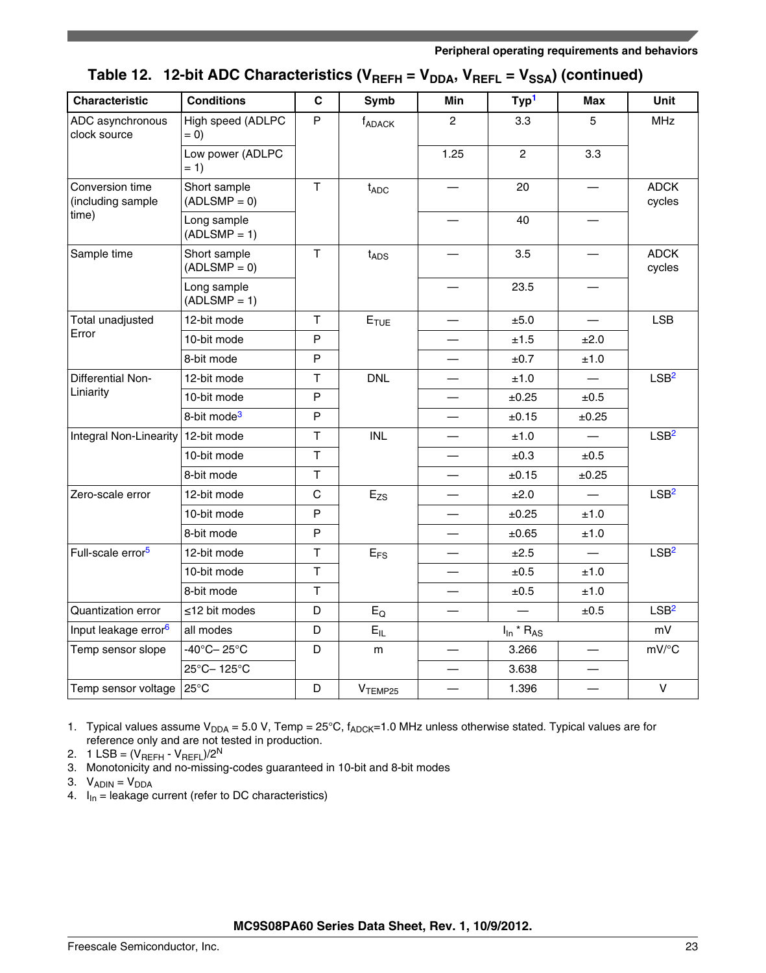<span id="page-22-0"></span>

| <b>Characteristic</b>                | <b>Conditions</b>               | C              | Symb                | <b>Min</b>               | Typ <sup>1</sup>           | <b>Max</b>               | Unit                  |
|--------------------------------------|---------------------------------|----------------|---------------------|--------------------------|----------------------------|--------------------------|-----------------------|
| ADC asynchronous<br>clock source     | High speed (ADLPC<br>$= 0)$     | P              | f <sub>ADACK</sub>  | $\overline{2}$           | 3.3                        | 5                        | <b>MHz</b>            |
|                                      | Low power (ADLPC<br>$= 1)$      |                |                     | 1.25                     | $\overline{2}$             | 3.3                      |                       |
| Conversion time<br>(including sample | Short sample<br>$(ADLSMP = 0)$  | $\mathsf{T}$   | t <sub>ADC</sub>    |                          | 20                         |                          | <b>ADCK</b><br>cycles |
| time)                                | Long sample<br>$(ADLSMP = 1)$   |                |                     |                          | 40                         |                          |                       |
| Sample time                          | Short sample<br>$(ADLSMP = 0)$  | $\mathsf{T}$   | $t_{\text{ADS}}$    |                          | 3.5                        |                          | <b>ADCK</b><br>cycles |
|                                      | Long sample<br>$(ADLSMP = 1)$   |                |                     |                          | 23.5                       |                          |                       |
| Total unadjusted                     | 12-bit mode                     | $\mathsf T$    | $E_{\text{TUE}}$    | $\overline{\phantom{0}}$ | ±5.0                       | $\overline{\phantom{0}}$ | <b>LSB</b>            |
| Error                                | 10-bit mode                     | P              |                     |                          | ±1.5                       | ±2.0                     |                       |
|                                      | 8-bit mode                      | P              |                     | $\overline{\phantom{0}}$ | ±0.7                       | ±1.0                     |                       |
| Differential Non-                    | 12-bit mode                     | $\overline{1}$ | <b>DNL</b>          | $\overline{\phantom{0}}$ | ±1.0                       |                          | LSB <sup>2</sup>      |
| Liniarity                            | 10-bit mode                     | P              |                     |                          | ±0.25                      | ±0.5                     |                       |
|                                      | 8-bit mode <sup>3</sup>         | P              |                     |                          | ±0.15                      | ±0.25                    |                       |
| Integral Non-Linearity 12-bit mode   |                                 | $\mathsf T$    | <b>INL</b>          | $\overline{\phantom{0}}$ | ±1.0                       |                          | LSB <sup>2</sup>      |
|                                      | 10-bit mode                     | $\mathsf T$    |                     |                          | ±0.3                       | ±0.5                     |                       |
|                                      | 8-bit mode                      | T              |                     | $\overline{\phantom{0}}$ | ±0.15                      | ±0.25                    |                       |
| Zero-scale error                     | 12-bit mode                     | $\mathsf{C}$   | $E_{ZS}$            |                          | ±2.0                       | $\qquad \qquad -$        | LSB <sup>2</sup>      |
|                                      | 10-bit mode                     | P              |                     |                          | ±0.25                      | ±1.0                     |                       |
|                                      | 8-bit mode                      | P              |                     | $\overline{\phantom{0}}$ | ±0.65                      | ±1.0                     |                       |
| Full-scale error <sup>5</sup>        | 12-bit mode                     | $\mathsf T$    | $E_{FS}$            |                          | ±2.5                       |                          | LSB <sup>2</sup>      |
|                                      | 10-bit mode                     | $\mathsf{T}$   |                     |                          | ±0.5                       | ±1.0                     |                       |
|                                      | 8-bit mode                      | T              |                     |                          | ±0.5                       | ±1.0                     |                       |
| Quantization error                   | ≤12 bit modes                   | D              | $E_{O}$             |                          |                            | ±0.5                     | LSB <sup>2</sup>      |
| Input leakage error <sup>6</sup>     | all modes                       | D              | $E_{IL}$            |                          | $I_{\text{In}}$ * $R_{AS}$ |                          | mV                    |
| Temp sensor slope                    | $-40^{\circ}$ C $-25^{\circ}$ C | D              | m                   |                          | 3.266                      |                          | mV/°C                 |
|                                      | 25°C-125°C                      |                |                     |                          | 3.638                      |                          |                       |
| Temp sensor voltage                  | 25°C                            | D              | V <sub>TEMP25</sub> |                          | 1.396                      |                          | $\vee$                |

| Table 12. 12-bit ADC Characteristics (V <sub>REFH</sub> = V <sub>DDA</sub> , V <sub>REFL</sub> = V <sub>SSA</sub> ) (continued) |  |  |
|---------------------------------------------------------------------------------------------------------------------------------|--|--|
|                                                                                                                                 |  |  |

1. Typical values assume  $V_{DDA} = 5.0 V$ , Temp = 25°C,  $f_{ADC}$ =1.0 MHz unless otherwise stated. Typical values are for reference only and are not tested in production.

2. 1 LSB =  $(V_{REFH} - V_{REFL})/2^N$ 

3. Monotonicity and no-missing-codes guaranteed in 10-bit and 8-bit modes

- 3.  $V_{ADIN} = V_{DDA}$
- 4.  $I_{In}$  = leakage current (refer to DC characteristics)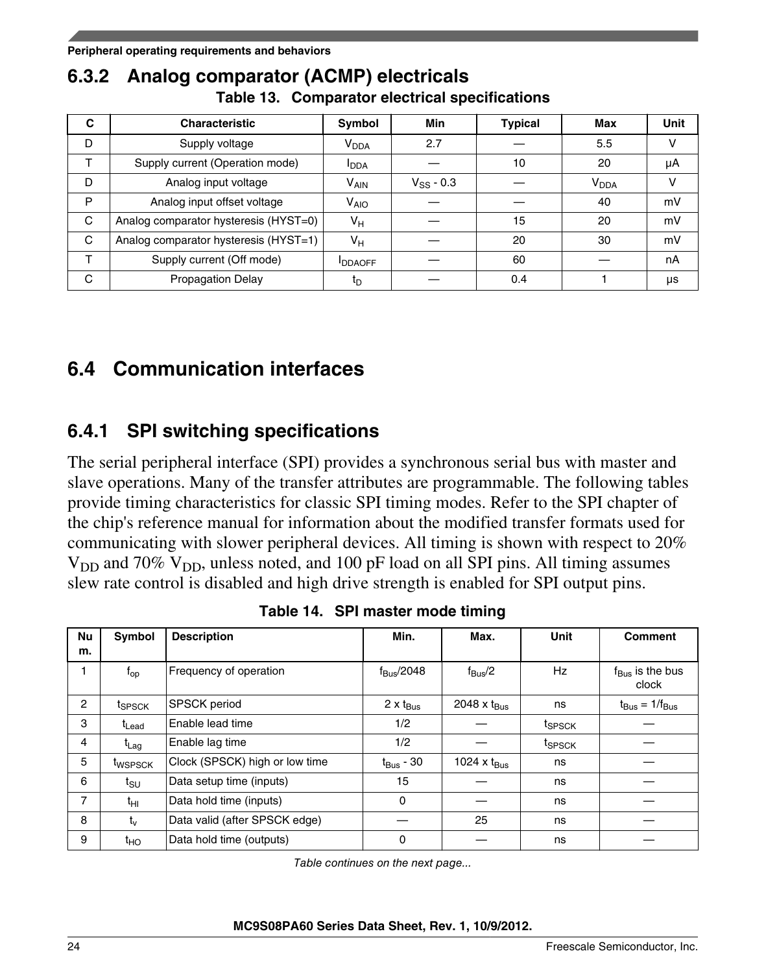### <span id="page-23-0"></span>**6.3.2 Analog comparator (ACMP) electricals Table 13. Comparator electrical specifications**

| C | <b>Characteristic</b>                 | Symbol                  | <b>Min</b>     | <b>Typical</b> | Max                    | <b>Unit</b> |
|---|---------------------------------------|-------------------------|----------------|----------------|------------------------|-------------|
| D | Supply voltage                        | V <sub>DDA</sub>        | 2.7            |                | 5.5                    | v           |
| T | Supply current (Operation mode)       | <b>I</b> <sub>DDA</sub> |                | 10             | 20                     | μA          |
| D | Analog input voltage                  | <b>V<sub>AIN</sub></b>  | $V_{SS} - 0.3$ |                | <b>V<sub>DDA</sub></b> | V           |
| P | Analog input offset voltage           | <b>V<sub>AIO</sub></b>  |                |                | 40                     | mV          |
| C | Analog comparator hysteresis (HYST=0) | $V_H$                   |                | 15             | 20                     | mV          |
| C | Analog comparator hysteresis (HYST=1) | $V_H$                   |                | 20             | 30                     | mV          |
| ᠇ | Supply current (Off mode)             | <b>IDDAOFF</b>          |                | 60             |                        | nA          |
| C | <b>Propagation Delay</b>              | t <sub>D</sub>          |                | 0.4            |                        | μs          |

# **6.4 Communication interfaces**

## **6.4.1 SPI switching specifications**

The serial peripheral interface (SPI) provides a synchronous serial bus with master and slave operations. Many of the transfer attributes are programmable. The following tables provide timing characteristics for classic SPI timing modes. Refer to the SPI chapter of the chip's reference manual for information about the modified transfer formats used for communicating with slower peripheral devices. All timing is shown with respect to 20%  $V_{DD}$  and 70%  $V_{DD}$ , unless noted, and 100 pF load on all SPI pins. All timing assumes slew rate control is disabled and high drive strength is enabled for SPI output pins.

| Nu<br>m.       | Symbol              | <b>Description</b>             | Min.                      | Max.                    | <b>Unit</b>        | <b>Comment</b>                       |
|----------------|---------------------|--------------------------------|---------------------------|-------------------------|--------------------|--------------------------------------|
|                |                     |                                |                           |                         |                    |                                      |
|                | $f_{op}$            | Frequency of operation         | $f_{\rm Bus}$ /2048       | $f_{\rm Bus}/2$         | Hz                 | $f_{\text{Bus}}$ is the bus<br>clock |
| $\overline{2}$ | tspsck              | <b>SPSCK</b> period            | $2 \times t_{\text{Bus}}$ | 2048 x $t_{\text{Bus}}$ | ns                 | $t_{\text{Bus}} = 1/f_{\text{Bus}}$  |
| 3              | t <sub>Lead</sub>   | Enable lead time               | 1/2                       |                         | t <sub>SPSCK</sub> |                                      |
| 4              | $t_{Lag}$           | Enable lag time                | 1/2                       |                         | t <sub>SPSCK</sub> |                                      |
| 5              | t <sub>wspsck</sub> | Clock (SPSCK) high or low time | $t_{\text{Bus}}$ - 30     | 1024 x $t_{\text{Bus}}$ | ns                 |                                      |
| 6              | $t_{\rm SU}$        | Data setup time (inputs)       | 15                        |                         | ns                 |                                      |
| 7              | $t_{\rm HI}$        | Data hold time (inputs)        | $\Omega$                  |                         | ns                 |                                      |
| 8              | $t_v$               | Data valid (after SPSCK edge)  |                           | 25                      | ns                 |                                      |
| 9              | $t_{HO}$            | Data hold time (outputs)       | 0                         |                         | ns                 |                                      |

**Table 14. SPI master mode timing**

*Table continues on the next page...*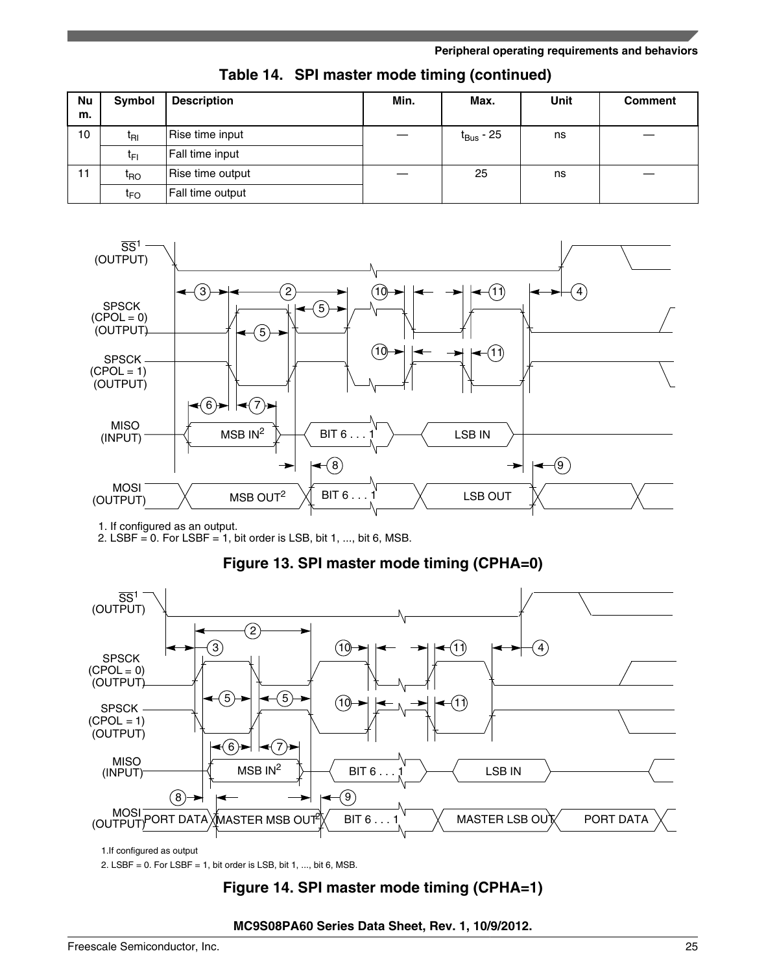#### **Peripheral operating requirements and behaviors**

| <b>Nu</b><br>m. | Symbol          | <b>Description</b> | Min. | Max.                  | <b>Unit</b> | <b>Comment</b> |
|-----------------|-----------------|--------------------|------|-----------------------|-------------|----------------|
| 10              | t <sub>RI</sub> | Rise time input    |      | t <sub>Bus</sub> - 25 | ns          |                |
|                 | t⊧ı             | Fall time input    |      |                       |             |                |
| 11              | t <sub>RO</sub> | Rise time output   |      | 25                    | ns          |                |
|                 | t <sub>FO</sub> | Fall time output   |      |                       |             |                |

**Table 14. SPI master mode timing (continued)**



### **Figure 13. SPI master mode timing (CPHA=0)**

2. LSBF  $= 0$ . For LSBF  $= 1$ , bit order is LSB, bit 1, ..., bit 6, MSB.



1.If configured as output

2. LSBF =  $0.$  For LSBF =  $1,$  bit order is LSB, bit  $1, ...,$  bit  $6,$  MSB.

### **Figure 14. SPI master mode timing (CPHA=1)**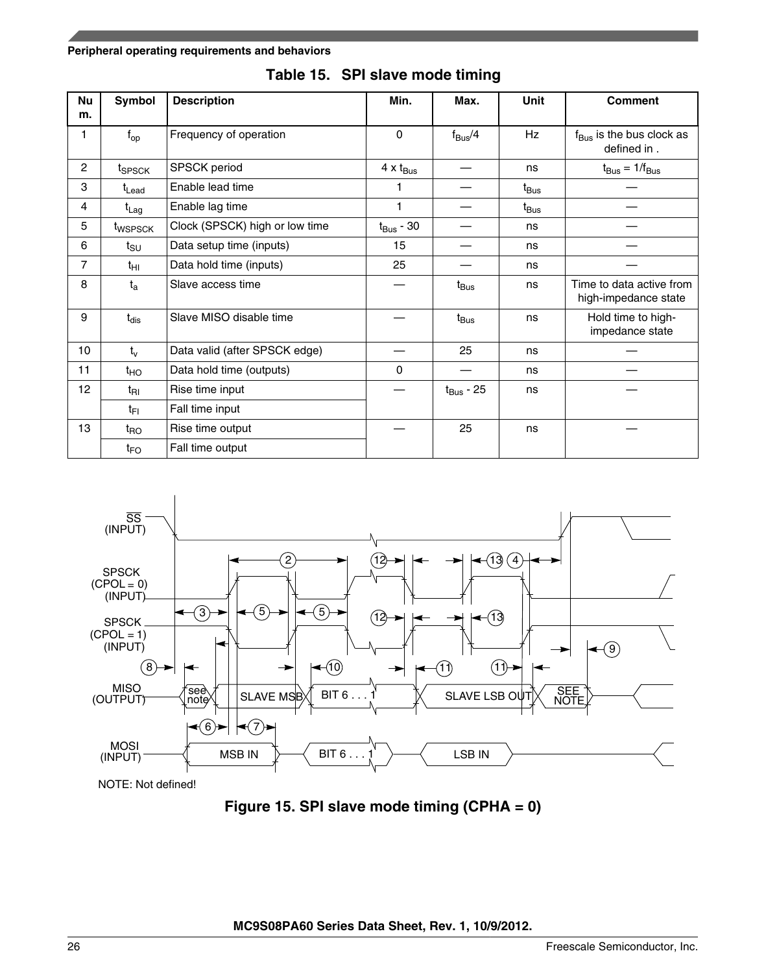#### **Peripheral operating requirements and behaviors**

| Nu<br>m.         | Symbol                      | <b>Description</b>             | Min.                      | Max.                  | <b>Unit</b>        | <b>Comment</b>                                      |
|------------------|-----------------------------|--------------------------------|---------------------------|-----------------------|--------------------|-----------------------------------------------------|
| 1                | $f_{op}$                    | Frequency of operation         | $\Omega$                  | $f_{\rm Bus}/4$       | Hz                 | $f_{\text{Bus}}$ is the bus clock as<br>defined in. |
| $\overline{2}$   | t <sub>SPSCK</sub>          | <b>SPSCK</b> period            | $4 \times t_{\text{Bus}}$ |                       | ns                 | $t_{\text{Bus}} = 1/f_{\text{Bus}}$                 |
| 3                | t <sub>Lead</sub>           | Enable lead time               |                           |                       | $t_{\mathsf{Bus}}$ |                                                     |
| $\overline{4}$   | $t_{Lag}$                   | Enable lag time                | 1                         |                       | $t_{\mathsf{Bus}}$ |                                                     |
| 5                | t <sub>WSPSCK</sub>         | Clock (SPSCK) high or low time | $t_{\mathsf{Bus}}$ - 30   |                       | ns                 |                                                     |
| 6                | $t_{\scriptstyle\text{SU}}$ | Data setup time (inputs)       | 15                        |                       | ns                 |                                                     |
| 7                | $t_{\text{HI}}$             | Data hold time (inputs)        | 25                        |                       | ns                 |                                                     |
| 8                | $t_{a}$                     | Slave access time              |                           | $t_{\mathsf{Bus}}$    | ns                 | Time to data active from<br>high-impedance state    |
| 9                | $t_{dis}$                   | Slave MISO disable time        |                           | $t_{\mathsf{Bus}}$    | ns                 | Hold time to high-<br>impedance state               |
| 10 <sup>10</sup> | $t_v$                       | Data valid (after SPSCK edge)  |                           | 25                    | ns                 |                                                     |
| 11               | $t_{HO}$                    | Data hold time (outputs)       | 0                         |                       | ns                 |                                                     |
| 12 <sup>2</sup>  | t <sub>RI</sub>             | Rise time input                |                           | $t_{\text{Bus}}$ - 25 | ns                 |                                                     |
|                  | $t_{\text{FI}}$             | Fall time input                |                           |                       |                    |                                                     |
| 13               | $t_{\mathsf{RO}}$           | Rise time output               |                           | 25                    | ns                 |                                                     |
|                  | $t_{FO}$                    | Fall time output               |                           |                       |                    |                                                     |





NOTE: Not defined!

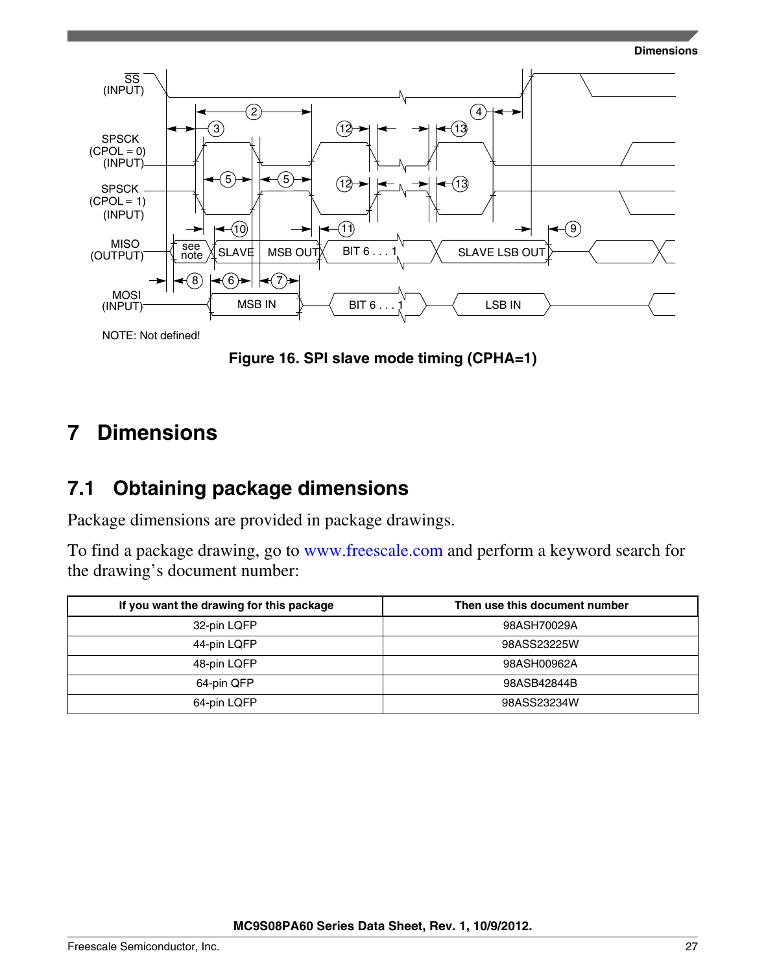

<span id="page-26-0"></span>

NOTE: Not defined!

**Figure 16. SPI slave mode timing (CPHA=1)**

#### **Dimensions 7**

## **7.1 Obtaining package dimensions**

Package dimensions are provided in package drawings.

To find a package drawing, go to [www.freescale.com](http://www.freescale.com) and perform a keyword search for the drawing's document number:

| If you want the drawing for this package | Then use this document number |
|------------------------------------------|-------------------------------|
| 32-pin LQFP                              | 98ASH70029A                   |
| 44-pin LQFP                              | 98ASS23225W                   |
| 48-pin LQFP                              | 98ASH00962A                   |
| 64-pin QFP                               | 98ASB42844B                   |
| 64-pin LQFP                              | 98ASS23234W                   |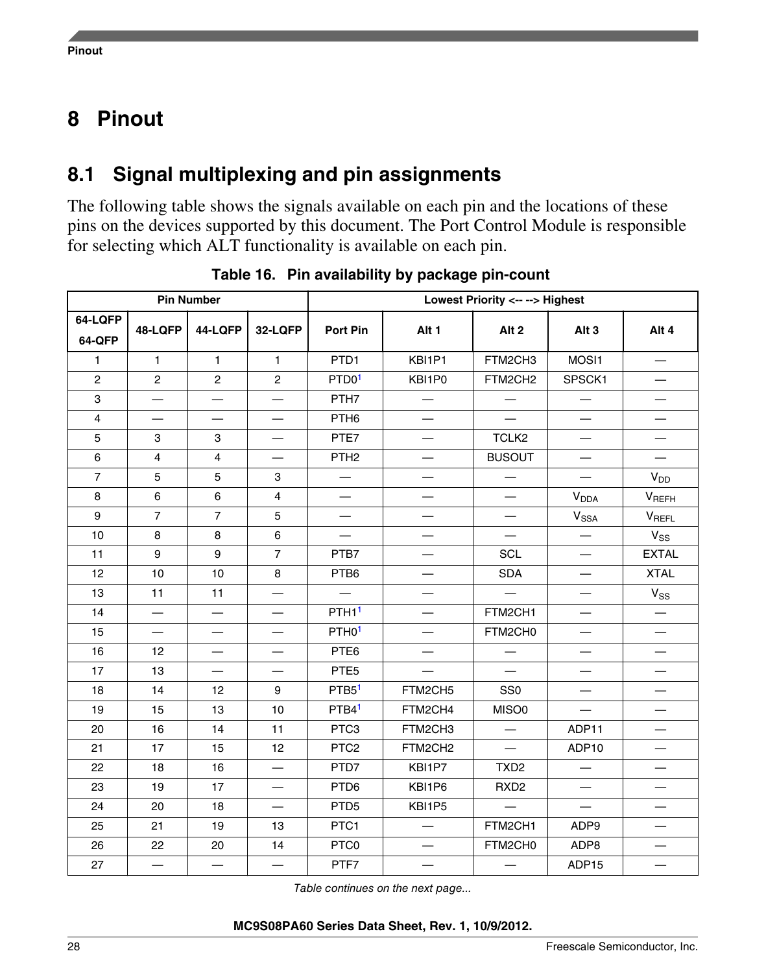#### <span id="page-27-0"></span>**Pinout**

# **8.1 Signal multiplexing and pin assignments**

The following table shows the signals available on each pin and the locations of these pins on the devices supported by this document. The Port Control Module is responsible for selecting which ALT functionality is available on each pin.

| <b>Pin Number</b>       |                          |                          |                          |                          | Lowest Priority <-- --> Highest |                          |                                  |                          |
|-------------------------|--------------------------|--------------------------|--------------------------|--------------------------|---------------------------------|--------------------------|----------------------------------|--------------------------|
| 64-LQFP<br>64-QFP       | 48-LQFP                  | 44-LQFP                  | 32-LQFP                  | <b>Port Pin</b>          | Alt <sub>1</sub>                | Alt <sub>2</sub>         | Alt <sub>3</sub>                 | Alt 4                    |
| $\mathbf{1}$            | $\mathbf{1}$             | $\mathbf{1}$             | $\mathbf{1}$             | PTD1                     | KBI1P1                          | FTM2CH3                  | MOSI1                            |                          |
| $\overline{c}$          | $\mathbf{2}$             | $\overline{c}$           | $\mathbf{2}$             | PTD01                    | KBI1P0                          | FTM2CH2                  | SPSCK1                           |                          |
| 3                       | $\overline{\phantom{0}}$ | $\overline{\phantom{0}}$ | $\overline{\phantom{0}}$ | PTH7                     | $\overline{\phantom{0}}$        | $\overline{\phantom{0}}$ | $\overline{\phantom{0}}$         |                          |
| $\overline{\mathbf{4}}$ | $\overline{\phantom{0}}$ | $\overline{\phantom{0}}$ | $\overline{\phantom{0}}$ | PTH <sub>6</sub>         | $\overline{\phantom{0}}$        |                          | $\overbrace{\phantom{12322111}}$ | $\overline{\phantom{0}}$ |
| 5                       | 3                        | 3                        |                          | PTE7                     |                                 | TCLK2                    | $\overbrace{\phantom{12322111}}$ |                          |
| 6                       | $\overline{4}$           | $\overline{4}$           | $\overline{\phantom{0}}$ | PTH <sub>2</sub>         | $\qquad \qquad -$               | <b>BUSOUT</b>            | $\qquad \qquad -$                |                          |
| $\overline{7}$          | 5                        | 5                        | 3                        | $\overline{\phantom{0}}$ |                                 |                          |                                  | <b>V<sub>DD</sub></b>    |
| 8                       | 6                        | 6                        | $\overline{4}$           | $\qquad \qquad -$        |                                 | $\overline{\phantom{0}}$ | V <sub>DDA</sub>                 | $V_{REFH}$               |
| 9                       | $\overline{7}$           | $\overline{7}$           | 5                        | $\overline{\phantom{0}}$ | $\qquad \qquad$                 | $\overline{\phantom{0}}$ | V <sub>SSA</sub>                 | VREFL                    |
| 10                      | 8                        | 8                        | 6                        |                          | —                               |                          | $\overline{\phantom{0}}$         | $V_{SS}$                 |
| 11                      | 9                        | 9                        | $\overline{7}$           | PTB7                     |                                 | <b>SCL</b>               |                                  | <b>EXTAL</b>             |
| 12                      | 10                       | 10                       | 8                        | PTB6                     |                                 | <b>SDA</b>               | $\overline{\phantom{0}}$         | <b>XTAL</b>              |
| 13                      | 11                       | 11                       | $\overline{\phantom{0}}$ | $\overline{\phantom{0}}$ |                                 | $\qquad \qquad$          |                                  | $V_{SS}$                 |
| 14                      |                          | $\overline{\phantom{0}}$ |                          | PTH <sub>1</sub>         |                                 | FTM2CH1                  | $\overline{\phantom{0}}$         |                          |
| 15                      | $\overline{\phantom{0}}$ | $\overline{\phantom{0}}$ | $\overline{\phantom{0}}$ | PTH <sub>0</sub> 1       |                                 | FTM2CH0                  |                                  |                          |
| 16                      | 12                       | $\overline{\phantom{0}}$ |                          | PTE6                     |                                 | $\overline{\phantom{0}}$ | —                                | $\overline{\phantom{0}}$ |
| 17                      | 13                       | $\overline{\phantom{0}}$ | $\overline{\phantom{0}}$ | PTE <sub>5</sub>         |                                 |                          | $\overline{\phantom{0}}$         | $\overline{\phantom{0}}$ |
| 18                      | 14                       | 12                       | 9                        | PTB <sub>5</sub> 1       | FTM2CH5                         | SS <sub>0</sub>          |                                  |                          |
| 19                      | 15                       | 13                       | 10                       | PTB4 <sup>1</sup>        | FTM2CH4                         | MISO0                    | $\overline{\phantom{m}}$         | —                        |
| 20                      | 16                       | 14                       | 11                       | PTC3                     | FTM2CH3                         |                          | ADP11                            |                          |
| 21                      | 17                       | 15                       | 12                       | PTC <sub>2</sub>         | FTM2CH2                         | $\overline{\phantom{0}}$ | ADP10                            | $\overline{\phantom{0}}$ |
| 22                      | 18                       | 16                       | $\overline{\phantom{0}}$ | PTD7                     | KBI1P7                          | TXD <sub>2</sub>         | $\overline{\phantom{0}}$         |                          |
| 23                      | 19                       | 17                       |                          | PTD6                     | KBI1P6                          | RXD <sub>2</sub>         | $\overline{\phantom{0}}$         | $\overline{\phantom{0}}$ |
| 24                      | 20                       | 18                       |                          | PTD <sub>5</sub>         | KBI1P5                          |                          |                                  |                          |
| 25                      | 21                       | 19                       | 13                       | PTC1                     | $\overline{\phantom{0}}$        | FTM2CH1                  | ADP9                             | $\overline{\phantom{0}}$ |
| 26                      | 22                       | 20                       | 14                       | PTC0                     | $\overline{\phantom{0}}$        | FTM2CH0                  | ADP8                             |                          |
| 27                      | $\overline{\phantom{0}}$ |                          |                          | PTF7                     |                                 |                          | ADP15                            |                          |

**Table 16. Pin availability by package pin-count**

*Table continues on the next page...*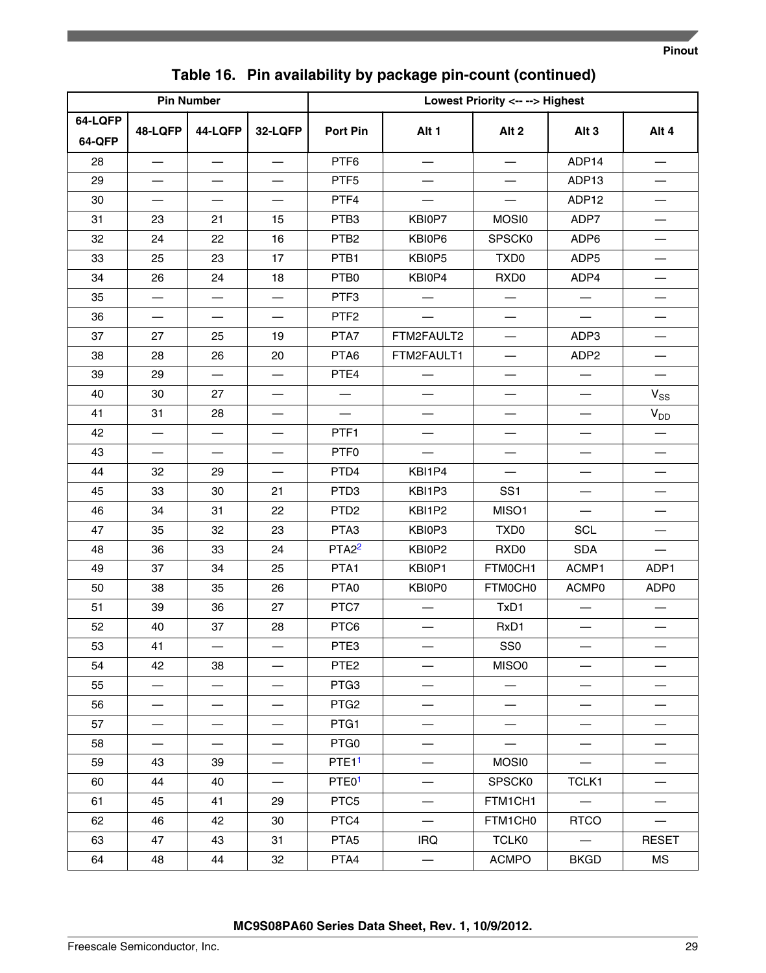| <b>Pin Number</b> |                          |                          | Lowest Priority <-- --> Highest |                    |                                  |                          |                                  |                          |
|-------------------|--------------------------|--------------------------|---------------------------------|--------------------|----------------------------------|--------------------------|----------------------------------|--------------------------|
| 64-LQFP           |                          |                          |                                 |                    |                                  |                          |                                  |                          |
| 64-QFP            | 48-LQFP                  | 44-LQFP                  | 32-LQFP                         | Port Pin           | Alt <sub>1</sub>                 | Alt <sub>2</sub>         | Alt <sub>3</sub>                 | Alt 4                    |
| 28                |                          |                          | $\overline{\phantom{0}}$        | PTF6               | $\overline{\phantom{0}}$         | $\overline{\phantom{0}}$ | ADP14                            | $\overline{\phantom{0}}$ |
| 29                |                          |                          | $\overline{\phantom{0}}$        | PTF <sub>5</sub>   |                                  |                          | ADP13                            | $\qquad \qquad$          |
| 30                |                          |                          |                                 | PTF4               |                                  |                          | ADP12                            |                          |
| 31                | 23                       | 21                       | 15                              | PTB <sub>3</sub>   | KBI0P7                           | MOSI0                    | ADP7                             | —                        |
| 32                | 24                       | 22                       | 16                              | PTB <sub>2</sub>   | KBI0P6                           | SPSCK0                   | ADP6                             | —                        |
| 33                | 25                       | 23                       | 17                              | PTB1               | KBI0P5                           | TXD <sub>0</sub>         | ADP5                             |                          |
| 34                | 26                       | 24                       | 18                              | PTB0               | KBI0P4                           | RXD <sub>0</sub>         | ADP4                             |                          |
| 35                |                          |                          |                                 | PTF3               |                                  |                          |                                  |                          |
| 36                |                          |                          |                                 | PTF <sub>2</sub>   |                                  | $\overline{\phantom{0}}$ |                                  | $\overline{\phantom{0}}$ |
| 37                | 27                       | 25                       | 19                              | PTA7               | FTM2FAULT2                       | —                        | ADP3                             | $\overline{\phantom{0}}$ |
| 38                | 28                       | 26                       | 20                              | PTA6               | FTM2FAULT1                       | $\overline{\phantom{0}}$ | ADP <sub>2</sub>                 |                          |
| 39                | 29                       |                          | $\qquad \qquad -$               | PTE4               | $\overbrace{\phantom{12322111}}$ |                          | $\qquad \qquad -$                | $\overline{\phantom{0}}$ |
| 40                | 30                       | 27                       |                                 |                    |                                  |                          | $\overline{\phantom{0}}$         | $V_{SS}$                 |
| 41                | 31                       | 28                       |                                 |                    |                                  |                          |                                  | $V_{DD}$                 |
| 42                |                          | $\overline{\phantom{0}}$ |                                 | PTF1               |                                  |                          |                                  |                          |
| 43                |                          |                          |                                 | PTF <sub>0</sub>   |                                  | $\overline{\phantom{0}}$ | $\overline{\phantom{0}}$         |                          |
| 44                | 32                       | 29                       |                                 | PTD4               | KBI1P4                           |                          | $\overline{\phantom{0}}$         |                          |
| 45                | 33                       | 30                       | 21                              | PTD <sub>3</sub>   | KBI1P3                           | SS <sub>1</sub>          | $\overline{\phantom{0}}$         |                          |
| 46                | 34                       | 31                       | 22                              | PTD <sub>2</sub>   | KBI1P2                           | MISO1                    | $\overbrace{\phantom{12322111}}$ | $\overline{\phantom{0}}$ |
| 47                | 35                       | 32                       | 23                              | PTA3               | KBI0P3                           | TXD <sub>0</sub>         | <b>SCL</b>                       |                          |
| 48                | 36                       | 33                       | 24                              | PTA <sub>2</sub> 2 | KBI0P2                           | RXD <sub>0</sub>         | <b>SDA</b>                       |                          |
| 49                | 37                       | 34                       | 25                              | PTA1               | KBI0P1                           | FTM0CH1                  | ACMP1                            | ADP1                     |
| 50                | 38                       | 35                       | 26                              | PTA0               | KBI0P0                           | FTM0CH0                  | ACMP0                            | ADP0                     |
| 51                | 39                       | 36                       | 27                              | PTC7               |                                  | TxD1                     | $\overline{\phantom{0}}$         |                          |
| 52                | 40                       | 37                       | 28                              | PTC6               |                                  | RxD1                     |                                  |                          |
| 53                | 41                       |                          |                                 | PTE3               |                                  | SS <sub>0</sub>          | —                                |                          |
| 54                | 42                       | 38                       |                                 | PTE <sub>2</sub>   |                                  | MISO0                    |                                  |                          |
| 55                |                          |                          |                                 | PTG <sub>3</sub>   |                                  |                          | —                                |                          |
| 56                |                          |                          |                                 | PTG <sub>2</sub>   |                                  |                          | $\overline{\phantom{0}}$         |                          |
| 57                | $\overline{\phantom{0}}$ |                          | $\overline{\phantom{0}}$        | PTG1               |                                  | $\overline{\phantom{0}}$ |                                  |                          |
| 58                | $\overline{\phantom{0}}$ | $\overline{\phantom{0}}$ | $\overline{\phantom{0}}$        | PTG <sub>0</sub>   |                                  | $\overline{\phantom{0}}$ | $\qquad \qquad -$                |                          |
| 59                | 43                       | 39                       |                                 | PTE <sub>11</sub>  |                                  | MOSI0                    |                                  |                          |
| 60                | 44                       | 40                       |                                 | PTE01              |                                  | SPSCK0                   | TCLK1                            |                          |
| 61                | 45                       | 41                       | 29                              | PTC <sub>5</sub>   |                                  | FTM1CH1                  |                                  | $\overline{\phantom{0}}$ |
| 62                | 46                       | 42                       | 30                              | PTC4               | $\overbrace{\phantom{123321}}$   | FTM1CH0                  | <b>RTCO</b>                      | $\overline{\phantom{0}}$ |
| 63                | 47                       | 43                       | 31                              | PTA <sub>5</sub>   | <b>IRQ</b>                       | <b>TCLK0</b>             | $\overline{\phantom{0}}$         | <b>RESET</b>             |
| 64                | 48                       | 44                       | 32                              | PTA4               | $\overline{\phantom{0}}$         | <b>ACMPO</b>             | <b>BKGD</b>                      | МS                       |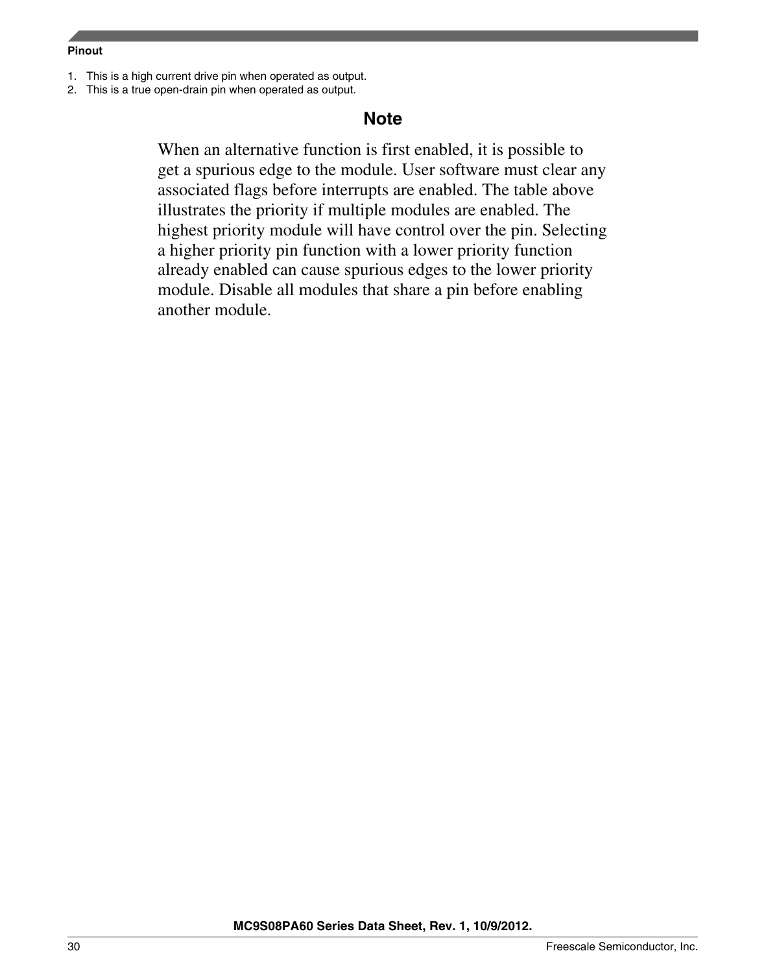#### <span id="page-29-0"></span>**Pinout**

- 1. This is a high current drive pin when operated as output.
- 2. This is a true open-drain pin when operated as output.

### **Note**

When an alternative function is first enabled, it is possible to get a spurious edge to the module. User software must clear any associated flags before interrupts are enabled. The table above illustrates the priority if multiple modules are enabled. The highest priority module will have control over the pin. Selecting a higher priority pin function with a lower priority function already enabled can cause spurious edges to the lower priority module. Disable all modules that share a pin before enabling another module.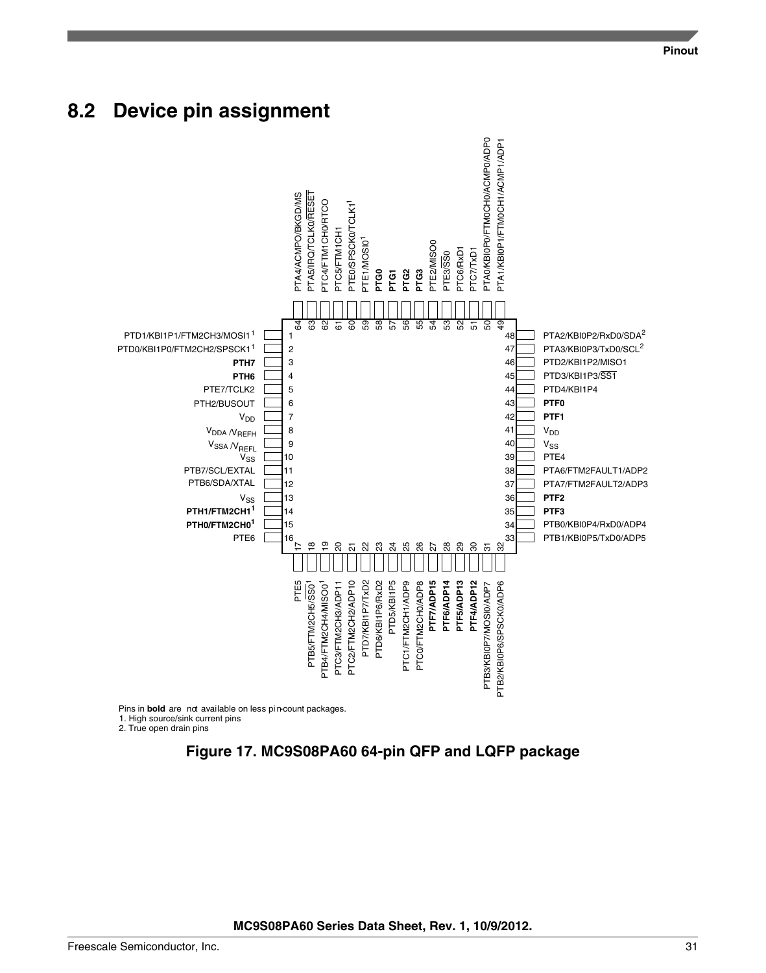### <span id="page-30-0"></span>**8.2 Device pin assignment**



2. True open drain pins

**Figure 17. MC9S08PA60 64-pin QFP and LQFP package**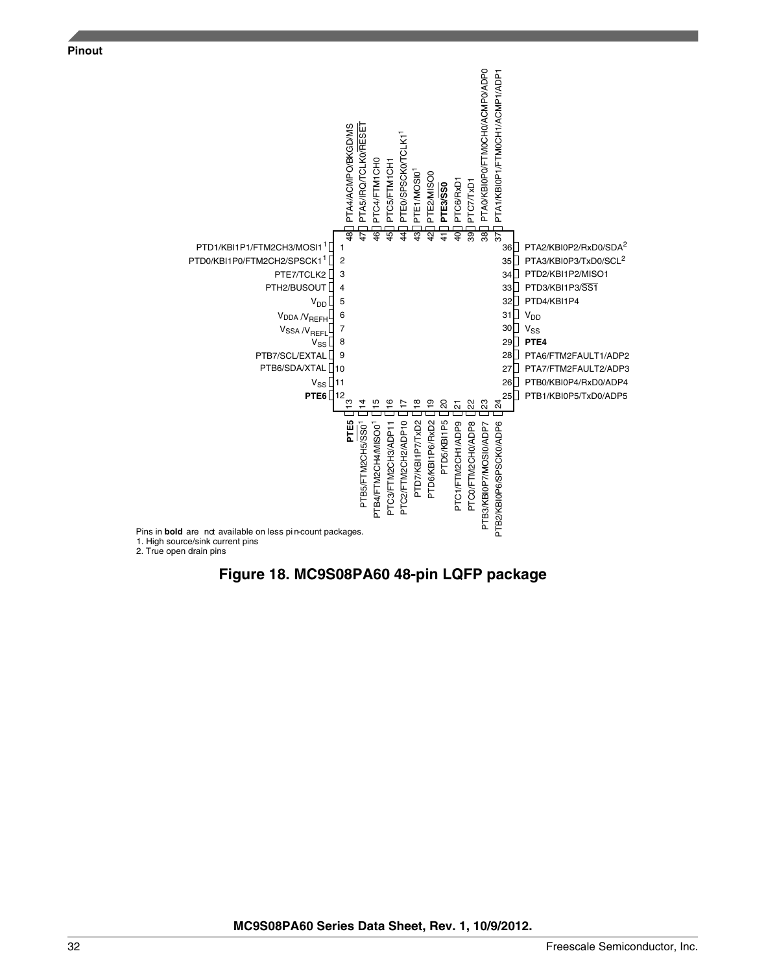

![](_page_31_Figure_2.jpeg)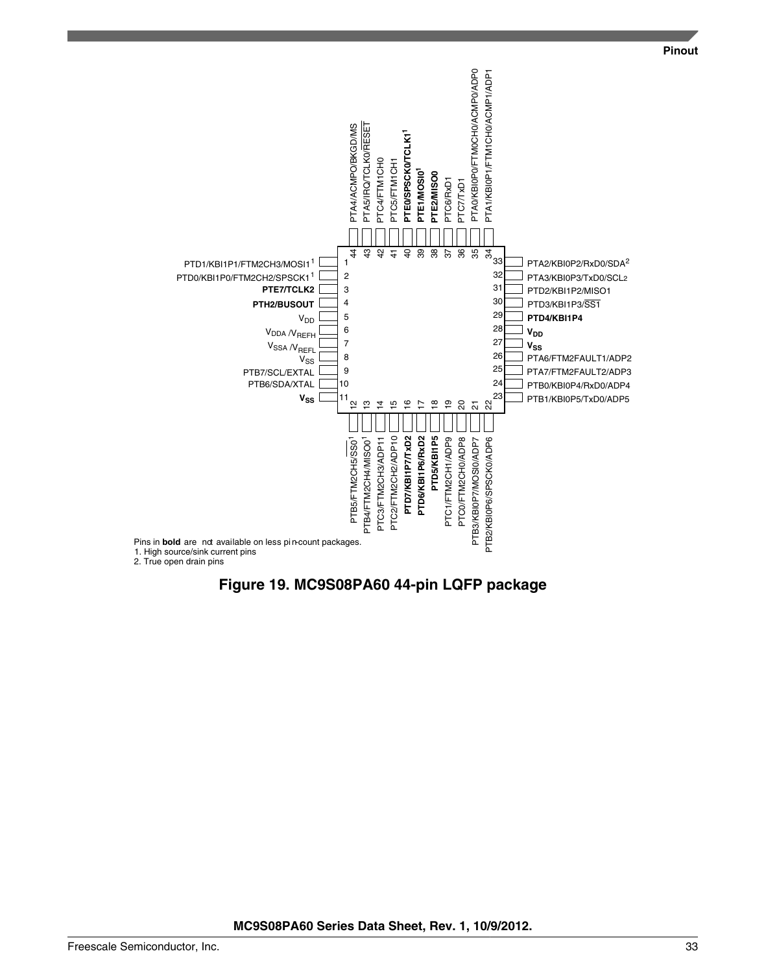![](_page_32_Figure_1.jpeg)

![](_page_32_Figure_2.jpeg)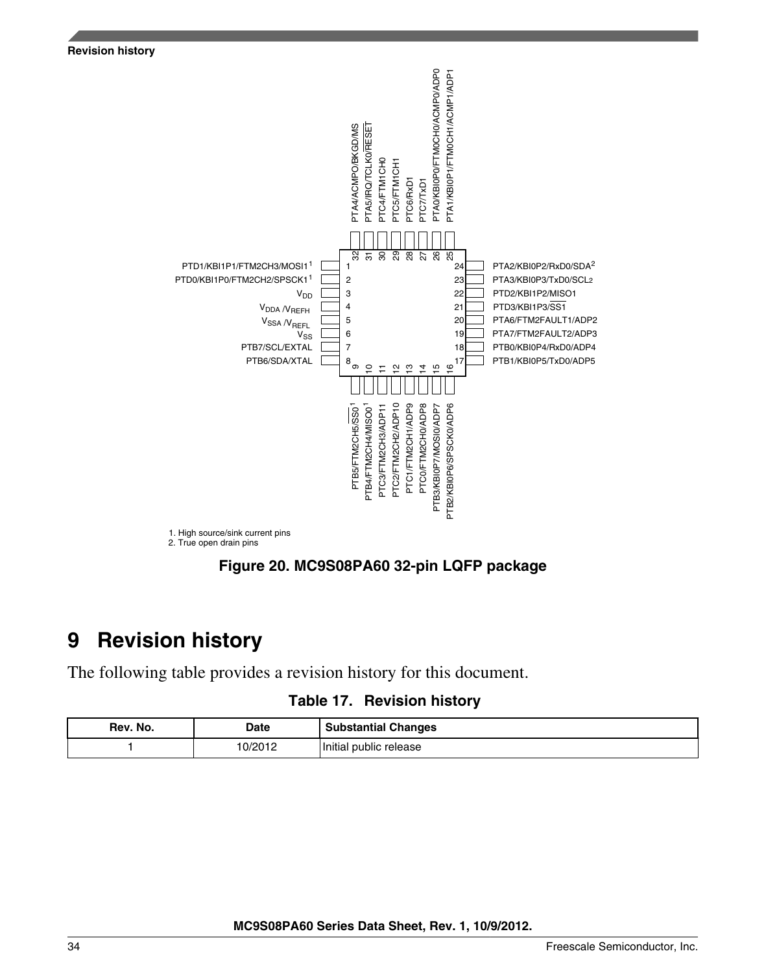<span id="page-33-0"></span>![](_page_33_Figure_0.jpeg)

# **9 Revision history**

The following table provides a revision history for this document.

|  |  | Table 17. Revision history |  |
|--|--|----------------------------|--|
|--|--|----------------------------|--|

| Rev. No. | Date    | <b>Substantial Changes</b> |
|----------|---------|----------------------------|
|          | 10/2012 | Initial public release     |